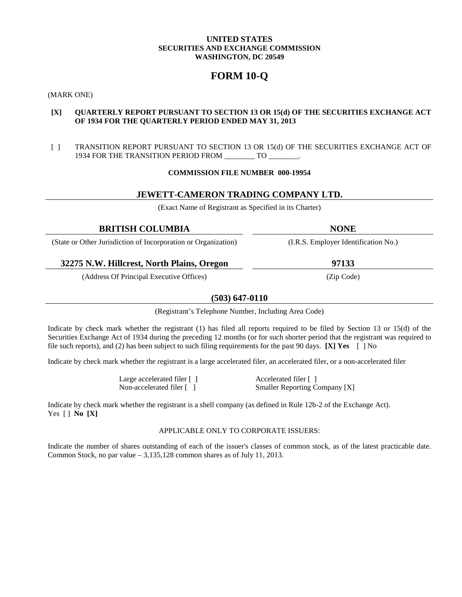#### **UNITED STATES SECURITIES AND EXCHANGE COMMISSION WASHINGTON, DC 20549**

# **FORM 10-Q**

(MARK ONE)

# **[X] QUARTERLY REPORT PURSUANT TO SECTION 13 OR 15(d) OF THE SECURITIES EXCHANGE ACT OF 1934 FOR THE QUARTERLY PERIOD ENDED MAY 31, 2013**

[ ] TRANSITION REPORT PURSUANT TO SECTION 13 OR 15(d) OF THE SECURITIES EXCHANGE ACT OF 1934 FOR THE TRANSITION PERIOD FROM \_\_\_\_\_\_\_\_ TO \_\_\_\_\_\_\_\_.

# **COMMISSION FILE NUMBER 000-19954**

# **JEWETT-CAMERON TRADING COMPANY LTD.**

(Exact Name of Registrant as Specified in its Charter)

| <b>BRITISH COLUMBIA</b>                                        | <b>NONE</b>                          |
|----------------------------------------------------------------|--------------------------------------|
| (State or Other Jurisdiction of Incorporation or Organization) | (I.R.S. Employer Identification No.) |
| 32275 N.W. Hillcrest, North Plains, Oregon                     | 97133                                |
| (Address Of Principal Executive Offices)                       | (Zip Code)                           |

# **(503) 647-0110**

(Registrant's Telephone Number, Including Area Code)

Indicate by check mark whether the registrant (1) has filed all reports required to be filed by Section 13 or 15(d) of the Securities Exchange Act of 1934 during the preceding 12 months (or for such shorter period that the registrant was required to file such reports), and (2) has been subject to such filing requirements for the past 90 days. **[X] Yes** [ ] No

Indicate by check mark whether the registrant is a large accelerated filer, an accelerated filer, or a non-accelerated filer

Large accelerated filer [ ] Accelerated filer [ ] Non-accelerated filer [ ] Smaller Reporting Company [X]

Indicate by check mark whether the registrant is a shell company (as defined in Rule 12b-2 of the Exchange Act). Yes [ ] **No [X]**

#### APPLICABLE ONLY TO CORPORATE ISSUERS:

Indicate the number of shares outstanding of each of the issuer's classes of common stock, as of the latest practicable date. Common Stock, no par value – 3,135,128 common shares as of July 11, 2013.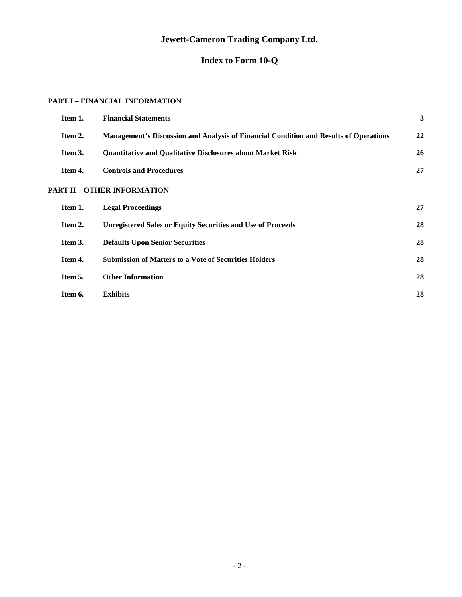# **Jewett-Cameron Trading Company Ltd.**

# **Index to Form 10-Q**

# **PART I – FINANCIAL INFORMATION**

| Item 1. | <b>Financial Statements</b>                                                                  | 3  |
|---------|----------------------------------------------------------------------------------------------|----|
| Item 2. | <b>Management's Discussion and Analysis of Financial Condition and Results of Operations</b> | 22 |
| Item 3. | <b>Quantitative and Qualitative Disclosures about Market Risk</b>                            | 26 |
| Item 4. | <b>Controls and Procedures</b>                                                               | 27 |
|         | PART II – OTHER INFORMATION                                                                  |    |
| Item 1. | <b>Legal Proceedings</b>                                                                     | 27 |
| Item 2. | <b>Unregistered Sales or Equity Securities and Use of Proceeds</b>                           | 28 |
| Item 3. | <b>Defaults Upon Senior Securities</b>                                                       | 28 |
| Item 4. | <b>Submission of Matters to a Vote of Securities Holders</b>                                 | 28 |
| Item 5. | <b>Other Information</b>                                                                     | 28 |
| Item 6. | <b>Exhibits</b>                                                                              | 28 |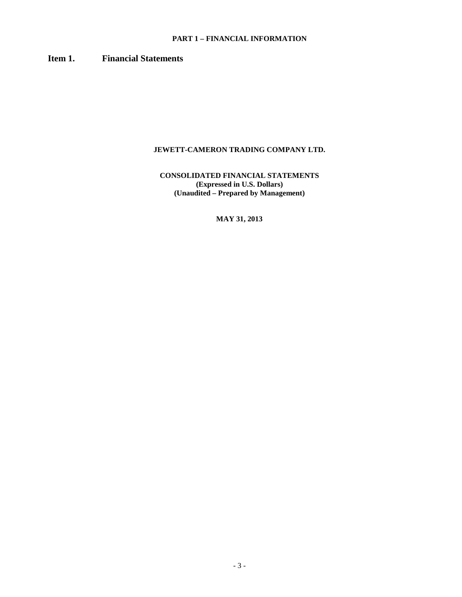# **PART 1 – FINANCIAL INFORMATION**

# **Item 1. Financial Statements**

# **JEWETT-CAMERON TRADING COMPANY LTD.**

**CONSOLIDATED FINANCIAL STATEMENTS (Expressed in U.S. Dollars) (Unaudited – Prepared by Management)**

# **MAY 31, 2013**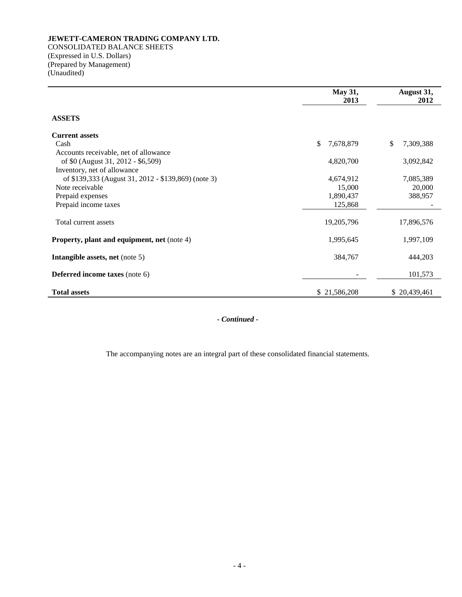# **JEWETT-CAMERON TRADING COMPANY LTD.** CONSOLIDATED BALANCE SHEETS (Expressed in U.S. Dollars) (Prepared by Management) (Unaudited)

|                                                     | May 31,<br>2013           | August 31,<br>2012 |
|-----------------------------------------------------|---------------------------|--------------------|
| <b>ASSETS</b>                                       |                           |                    |
| <b>Current assets</b>                               |                           |                    |
| Cash                                                | $\mathbb{S}$<br>7,678,879 | \$.<br>7,309,388   |
| Accounts receivable, net of allowance               |                           |                    |
| of \$0 (August 31, 2012 - \$6,509)                  | 4,820,700                 | 3,092,842          |
| Inventory, net of allowance                         |                           |                    |
| of \$139,333 (August 31, 2012 - \$139,869) (note 3) | 4,674,912                 | 7,085,389          |
| Note receivable                                     | 15,000                    | 20,000             |
| Prepaid expenses                                    | 1,890,437                 | 388,957            |
| Prepaid income taxes                                | 125,868                   |                    |
| Total current assets                                | 19,205,796                | 17,896,576         |
| <b>Property, plant and equipment, net</b> (note 4)  | 1,995,645                 | 1,997,109          |
| Intangible assets, net (note 5)                     | 384,767                   | 444,203            |
| Deferred income taxes (note 6)                      |                           | 101,573            |
| <b>Total assets</b>                                 | \$21,586,208              | \$20,439,461       |

*- Continued -*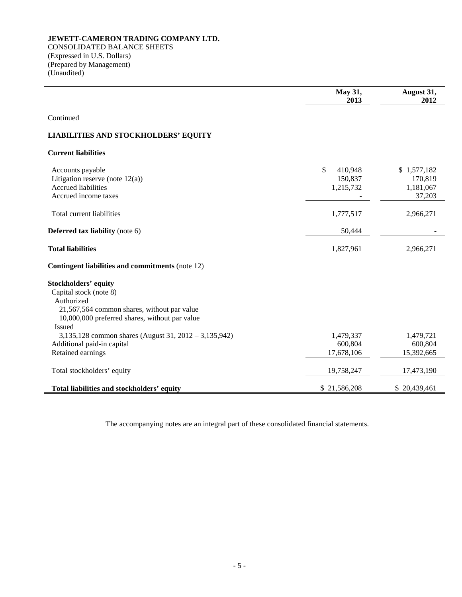# **JEWETT-CAMERON TRADING COMPANY LTD.** CONSOLIDATED BALANCE SHEETS (Expressed in U.S. Dollars) (Prepared by Management) (Unaudited)

|                                                                 | May 31,<br>2013 | August 31,<br>2012 |
|-----------------------------------------------------------------|-----------------|--------------------|
| Continued                                                       |                 |                    |
| <b>LIABILITIES AND STOCKHOLDERS' EQUITY</b>                     |                 |                    |
| <b>Current liabilities</b>                                      |                 |                    |
| Accounts payable                                                | \$<br>410,948   | \$1,577,182        |
| Litigation reserve (note $12(a)$ )                              | 150,837         | 170,819            |
| <b>Accrued liabilities</b><br>Accrued income taxes              | 1,215,732       | 1,181,067          |
|                                                                 |                 | 37,203             |
| Total current liabilities                                       | 1,777,517       | 2,966,271          |
| <b>Deferred tax liability</b> (note 6)                          | 50,444          |                    |
| <b>Total liabilities</b>                                        | 1,827,961       | 2,966,271          |
| Contingent liabilities and commitments (note 12)                |                 |                    |
| <b>Stockholders' equity</b>                                     |                 |                    |
| Capital stock (note 8)                                          |                 |                    |
| Authorized                                                      |                 |                    |
| 21,567,564 common shares, without par value                     |                 |                    |
| 10,000,000 preferred shares, without par value<br><b>Issued</b> |                 |                    |
| 3,135,128 common shares (August 31, 2012 – 3,135,942)           | 1,479,337       | 1,479,721          |
| Additional paid-in capital                                      | 600,804         | 600,804            |
| Retained earnings                                               | 17,678,106      | 15,392,665         |
| Total stockholders' equity                                      | 19,758,247      | 17,473,190         |
| Total liabilities and stockholders' equity                      | \$21,586,208    | \$20,439,461       |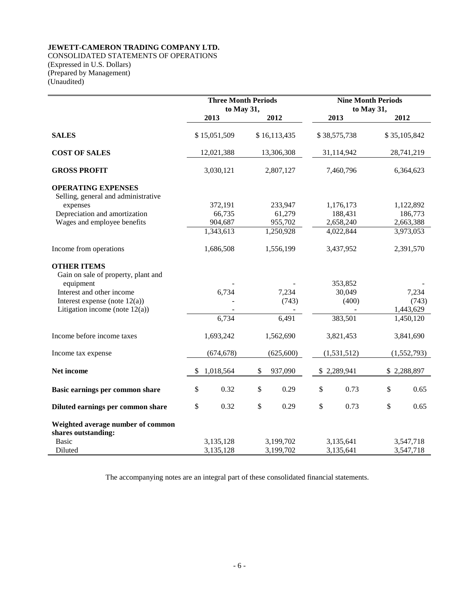# **JEWETT-CAMERON TRADING COMPANY LTD.**

# CONSOLIDATED STATEMENTS OF OPERATIONS (Expressed in U.S. Dollars)

(Prepared by Management) (Unaudited)

|                                                           | <b>Three Month Periods</b><br>to May 31, |              |                             | <b>Nine Month Periods</b><br>to May 31, |                        |               |                        |  |            |
|-----------------------------------------------------------|------------------------------------------|--------------|-----------------------------|-----------------------------------------|------------------------|---------------|------------------------|--|------------|
|                                                           | 2013                                     |              | 2012                        |                                         | 2013                   |               | 2012                   |  |            |
| <b>SALES</b>                                              | \$15,051,509                             |              | \$16,113,435                |                                         | \$38,575,738           |               | \$35,105,842           |  |            |
| <b>COST OF SALES</b>                                      | 12,021,388                               |              | 13,306,308                  |                                         | 31,114,942             |               |                        |  | 28,741,219 |
| <b>GROSS PROFIT</b>                                       | 3,030,121                                |              | 2,807,127                   |                                         | 7,460,796              |               | 6,364,623              |  |            |
| <b>OPERATING EXPENSES</b>                                 |                                          |              |                             |                                         |                        |               |                        |  |            |
| Selling, general and administrative                       |                                          |              |                             |                                         |                        |               |                        |  |            |
| expenses                                                  | 372,191                                  |              | 233,947                     |                                         | 1,176,173              |               | 1,122,892              |  |            |
| Depreciation and amortization                             | 66,735                                   |              | 61,279                      |                                         | 188,431                |               | 186,773                |  |            |
| Wages and employee benefits                               | 904,687<br>1,343,613                     |              | 955,702<br>1,250,928        |                                         | 2,658,240<br>4,022,844 |               | 2,663,388<br>3,973,053 |  |            |
|                                                           |                                          |              |                             |                                         |                        |               |                        |  |            |
| Income from operations                                    | 1,686,508                                |              | 1,556,199                   |                                         | 3,437,952              |               | 2,391,570              |  |            |
| <b>OTHER ITEMS</b><br>Gain on sale of property, plant and |                                          |              |                             |                                         |                        |               |                        |  |            |
| equipment                                                 |                                          |              |                             |                                         | 353,852                |               |                        |  |            |
| Interest and other income                                 | 6,734                                    |              | 7,234                       |                                         | 30,049                 | 7,234         |                        |  |            |
| Interest expense (note $12(a)$ )                          |                                          |              | (743)                       |                                         | (400)                  | (743)         |                        |  |            |
| Litigation income (note $12(a)$ )                         |                                          |              |                             |                                         |                        |               | 1,443,629              |  |            |
|                                                           | 6,734                                    |              | 6,491                       |                                         | 383,501                |               | 1,450,120              |  |            |
| Income before income taxes                                | 1,693,242                                |              | 1,562,690                   |                                         | 3,821,453              | 3,841,690     |                        |  |            |
| Income tax expense                                        | (674, 678)                               |              | (625, 600)<br>(1, 531, 512) |                                         |                        | (1, 552, 793) |                        |  |            |
| Net income                                                | \$<br>1,018,564                          | \$           | 937,090                     |                                         | \$2,289,941            |               | \$2,288,897            |  |            |
| Basic earnings per common share                           | \$<br>0.32                               | \$           | 0.29                        | \$                                      | 0.73                   | $\$\,$        | 0.65                   |  |            |
| Diluted earnings per common share                         | \$<br>0.32                               | $\mathbb{S}$ | 0.29                        | \$                                      | 0.73                   | \$            | 0.65                   |  |            |
| Weighted average number of common                         |                                          |              |                             |                                         |                        |               |                        |  |            |
| shares outstanding:                                       |                                          |              |                             |                                         |                        |               |                        |  |            |
| Basic                                                     | 3,135,128                                |              | 3,199,702                   |                                         | 3,135,641              |               | 3,547,718              |  |            |
| Diluted                                                   | 3,135,128                                |              | 3,199,702                   |                                         | 3,135,641              |               | 3,547,718              |  |            |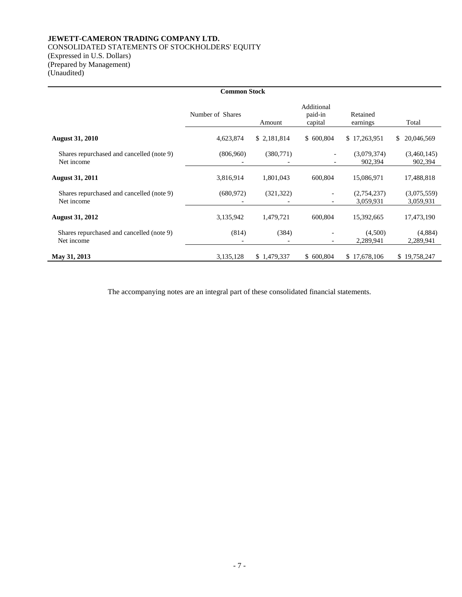# **JEWETT-CAMERON TRADING COMPANY LTD.**

# CONSOLIDATED STATEMENTS OF STOCKHOLDERS' EQUITY (Expressed in U.S. Dollars)

(Prepared by Management) (Unaudited)

| <b>Common Stock</b>                                     |                  |             |                                                      |                          |                          |  |
|---------------------------------------------------------|------------------|-------------|------------------------------------------------------|--------------------------|--------------------------|--|
|                                                         | Number of Shares | Amount      | Additional<br>paid-in<br>capital                     | Retained<br>earnings     | Total                    |  |
| <b>August 31, 2010</b>                                  | 4,623,874        | \$2,181,814 | \$600,804                                            | \$17,263,951             | 20,046,569<br>\$         |  |
| Shares repurchased and cancelled (note 9)<br>Net income | (806,960)        | (380,771)   | $\overline{\phantom{a}}$                             | (3,079,374)<br>902,394   | (3,460,145)<br>902,394   |  |
| <b>August 31, 2011</b>                                  | 3,816,914        | 1,801,043   | 600,804                                              | 15,086,971               | 17,488,818               |  |
| Shares repurchased and cancelled (note 9)<br>Net income | (680, 972)       | (321, 322)  | $\overline{\phantom{a}}$                             | (2,754,237)<br>3,059,931 | (3,075,559)<br>3,059,931 |  |
| <b>August 31, 2012</b>                                  | 3,135,942        | 1,479,721   | 600,804                                              | 15,392,665               | 17,473,190               |  |
| Shares repurchased and cancelled (note 9)<br>Net income | (814)            | (384)       | $\overline{\phantom{a}}$<br>$\overline{\phantom{a}}$ | (4,500)<br>2,289,941     | (4,884)<br>2,289,941     |  |
| May 31, 2013                                            | 3,135,128        | \$1,479,337 | \$600,804                                            | \$17,678,106             | \$19,758,247             |  |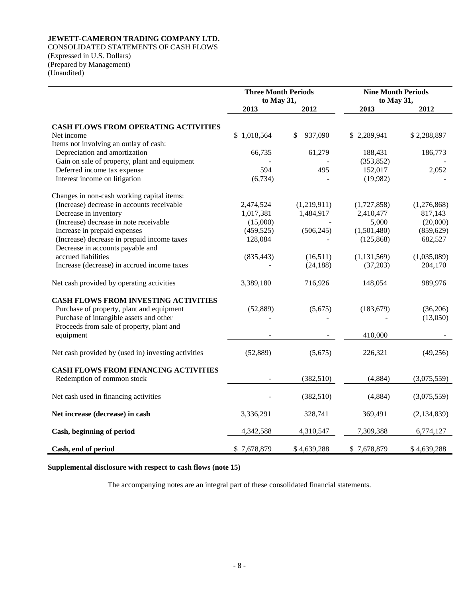# **JEWETT-CAMERON TRADING COMPANY LTD.**

CONSOLIDATED STATEMENTS OF CASH FLOWS (Expressed in U.S. Dollars) (Prepared by Management) (Unaudited)

|                                                     | <b>Three Month Periods</b><br>to May 31, |               | <b>Nine Month Periods</b><br>to May 31, |             |
|-----------------------------------------------------|------------------------------------------|---------------|-----------------------------------------|-------------|
|                                                     | 2013                                     | 2012          | 2013                                    | 2012        |
| <b>CASH FLOWS FROM OPERATING ACTIVITIES</b>         |                                          |               |                                         |             |
| Net income                                          | \$1,018,564                              | \$<br>937,090 | \$2,289,941                             | \$2,288,897 |
| Items not involving an outlay of cash:              |                                          |               |                                         |             |
| Depreciation and amortization                       | 66,735                                   | 61,279        | 188,431                                 | 186,773     |
| Gain on sale of property, plant and equipment       |                                          |               | (353, 852)                              |             |
| Deferred income tax expense                         | 594                                      | 495           | 152,017                                 | 2,052       |
| Interest income on litigation                       | (6,734)                                  |               | (19,982)                                |             |
| Changes in non-cash working capital items:          |                                          |               |                                         |             |
| (Increase) decrease in accounts receivable          | 2,474,524                                | (1,219,911)   | (1,727,858)                             | (1,276,868) |
| Decrease in inventory                               | 1,017,381                                | 1,484,917     | 2,410,477                               | 817,143     |
| (Increase) decrease in note receivable              | (15,000)                                 |               | 5,000                                   | (20,000)    |
| Increase in prepaid expenses                        | (459, 525)                               | (506, 245)    | (1,501,480)                             | (859, 629)  |
| (Increase) decrease in prepaid income taxes         | 128,084                                  |               | (125, 868)                              | 682,527     |
| Decrease in accounts payable and                    |                                          |               |                                         |             |
| accrued liabilities                                 | (835, 443)                               | (16,511)      | (1, 131, 569)                           | (1,035,089) |
| Increase (decrease) in accrued income taxes         |                                          | (24, 188)     | (37,203)                                | 204,170     |
| Net cash provided by operating activities           | 3,389,180                                | 716,926       | 148,054                                 | 989,976     |
| <b>CASH FLOWS FROM INVESTING ACTIVITIES</b>         |                                          |               |                                         |             |
| Purchase of property, plant and equipment           | (52, 889)                                | (5,675)       | (183, 679)                              | (36,206)    |
| Purchase of intangible assets and other             |                                          |               |                                         | (13,050)    |
| Proceeds from sale of property, plant and           |                                          |               |                                         |             |
| equipment                                           |                                          |               | 410,000                                 |             |
| Net cash provided by (used in) investing activities | (52,889)                                 | (5,675)       | 226,321                                 | (49,256)    |
| <b>CASH FLOWS FROM FINANCING ACTIVITIES</b>         |                                          |               |                                         |             |
| Redemption of common stock                          |                                          | (382, 510)    | (4,884)                                 | (3,075,559) |
| Net cash used in financing activities               |                                          | (382, 510)    | (4,884)                                 | (3,075,559) |
| Net increase (decrease) in cash                     | 3,336,291                                | 328,741       | 369,491                                 | (2,134,839) |
| Cash, beginning of period                           | 4,342,588                                | 4,310,547     | 7,309,388                               | 6,774,127   |
| Cash, end of period                                 | \$7,678,879                              | \$4,639,288   | \$7,678,879                             | \$4,639,288 |

# **Supplemental disclosure with respect to cash flows (note 15)**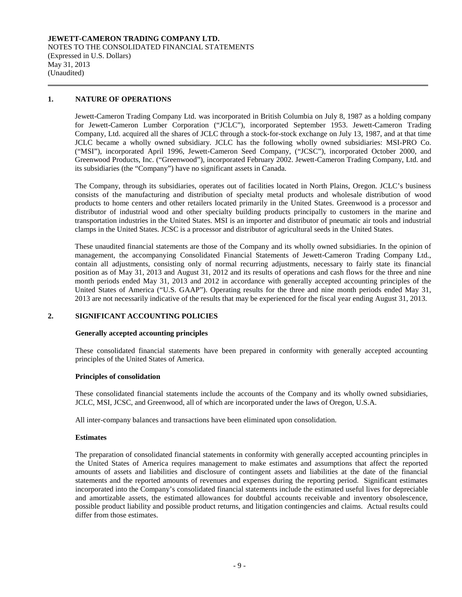#### **JEWETT-CAMERON TRADING COMPANY LTD.** NOTES TO THE CONSOLIDATED FINANCIAL STATEMENTS (Expressed in U.S. Dollars) May 31, 2013 (Unaudited)

# **1. NATURE OF OPERATIONS**

Jewett-Cameron Trading Company Ltd. was incorporated in British Columbia on July 8, 1987 as a holding company for Jewett-Cameron Lumber Corporation ("JCLC"), incorporated September 1953. Jewett-Cameron Trading Company, Ltd. acquired all the shares of JCLC through a stock-for-stock exchange on July 13, 1987, and at that time JCLC became a wholly owned subsidiary. JCLC has the following wholly owned subsidiaries: MSI-PRO Co. ("MSI"), incorporated April 1996, Jewett-Cameron Seed Company, ("JCSC"), incorporated October 2000, and Greenwood Products, Inc. ("Greenwood"), incorporated February 2002. Jewett-Cameron Trading Company, Ltd. and its subsidiaries (the "Company") have no significant assets in Canada.

The Company, through its subsidiaries, operates out of facilities located in North Plains, Oregon. JCLC's business consists of the manufacturing and distribution of specialty metal products and wholesale distribution of wood products to home centers and other retailers located primarily in the United States. Greenwood is a processor and distributor of industrial wood and other specialty building products principally to customers in the marine and transportation industries in the United States. MSI is an importer and distributor of pneumatic air tools and industrial clamps in the United States. JCSC is a processor and distributor of agricultural seeds in the United States.

These unaudited financial statements are those of the Company and its wholly owned subsidiaries. In the opinion of management, the accompanying Consolidated Financial Statements of Jewett-Cameron Trading Company Ltd., contain all adjustments, consisting only of normal recurring adjustments, necessary to fairly state its financial position as of May 31, 2013 and August 31, 2012 and its results of operations and cash flows for the three and nine month periods ended May 31, 2013 and 2012 in accordance with generally accepted accounting principles of the United States of America ("U.S. GAAP"). Operating results for the three and nine month periods ended May 31, 2013 are not necessarily indicative of the results that may be experienced for the fiscal year ending August 31, 2013.

# **2. SIGNIFICANT ACCOUNTING POLICIES**

#### **Generally accepted accounting principles**

These consolidated financial statements have been prepared in conformity with generally accepted accounting principles of the United States of America.

#### **Principles of consolidation**

These consolidated financial statements include the accounts of the Company and its wholly owned subsidiaries, JCLC, MSI, JCSC, and Greenwood, all of which are incorporated under the laws of Oregon, U.S.A.

All inter-company balances and transactions have been eliminated upon consolidation.

#### **Estimates**

The preparation of consolidated financial statements in conformity with generally accepted accounting principles in the United States of America requires management to make estimates and assumptions that affect the reported amounts of assets and liabilities and disclosure of contingent assets and liabilities at the date of the financial statements and the reported amounts of revenues and expenses during the reporting period. Significant estimates incorporated into the Company's consolidated financial statements include the estimated useful lives for depreciable and amortizable assets, the estimated allowances for doubtful accounts receivable and inventory obsolescence, possible product liability and possible product returns, and litigation contingencies and claims. Actual results could differ from those estimates.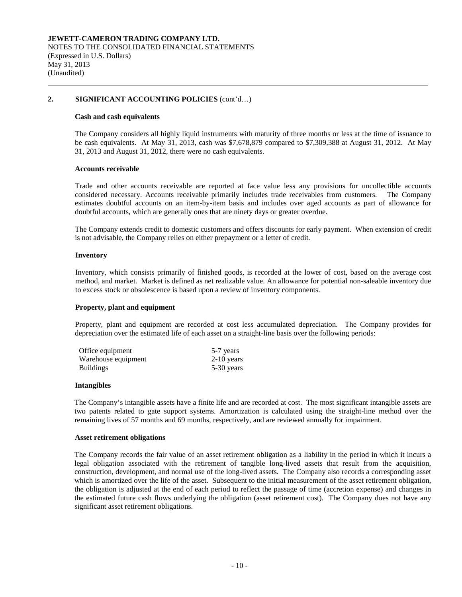#### **Cash and cash equivalents**

The Company considers all highly liquid instruments with maturity of three months or less at the time of issuance to be cash equivalents. At May 31, 2013, cash was \$7,678,879 compared to \$7,309,388 at August 31, 2012. At May 31, 2013 and August 31, 2012, there were no cash equivalents.

#### **Accounts receivable**

Trade and other accounts receivable are reported at face value less any provisions for uncollectible accounts considered necessary. Accounts receivable primarily includes trade receivables from customers. The Company estimates doubtful accounts on an item-by-item basis and includes over aged accounts as part of allowance for doubtful accounts, which are generally ones that are ninety days or greater overdue.

The Company extends credit to domestic customers and offers discounts for early payment. When extension of credit is not advisable, the Company relies on either prepayment or a letter of credit.

#### **Inventory**

Inventory, which consists primarily of finished goods, is recorded at the lower of cost, based on the average cost method, and market. Market is defined as net realizable value. An allowance for potential non-saleable inventory due to excess stock or obsolescence is based upon a review of inventory components.

#### **Property, plant and equipment**

Property, plant and equipment are recorded at cost less accumulated depreciation. The Company provides for depreciation over the estimated life of each asset on a straight-line basis over the following periods:

| Office equipment    | 5-7 years    |
|---------------------|--------------|
| Warehouse equipment | $2-10$ years |
| <b>Buildings</b>    | $5-30$ years |

#### **Intangibles**

The Company's intangible assets have a finite life and are recorded at cost. The most significant intangible assets are two patents related to gate support systems. Amortization is calculated using the straight-line method over the remaining lives of 57 months and 69 months, respectively, and are reviewed annually for impairment.

#### **Asset retirement obligations**

The Company records the fair value of an asset retirement obligation as a liability in the period in which it incurs a legal obligation associated with the retirement of tangible long-lived assets that result from the acquisition, construction, development, and normal use of the long-lived assets. The Company also records a corresponding asset which is amortized over the life of the asset. Subsequent to the initial measurement of the asset retirement obligation, the obligation is adjusted at the end of each period to reflect the passage of time (accretion expense) and changes in the estimated future cash flows underlying the obligation (asset retirement cost). The Company does not have any significant asset retirement obligations.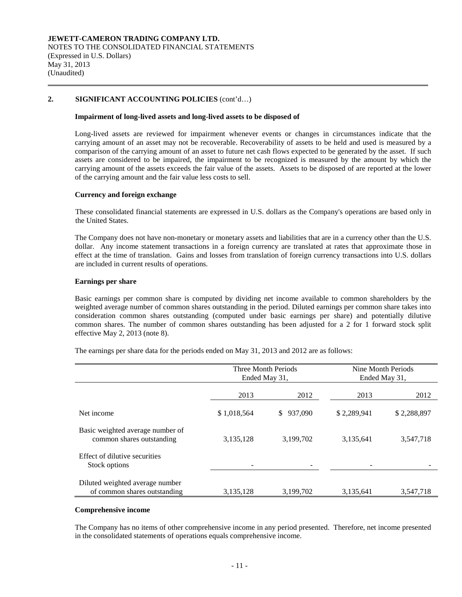#### **Impairment of long-lived assets and long-lived assets to be disposed of**

Long-lived assets are reviewed for impairment whenever events or changes in circumstances indicate that the carrying amount of an asset may not be recoverable. Recoverability of assets to be held and used is measured by a comparison of the carrying amount of an asset to future net cash flows expected to be generated by the asset. If such assets are considered to be impaired, the impairment to be recognized is measured by the amount by which the carrying amount of the assets exceeds the fair value of the assets. Assets to be disposed of are reported at the lower of the carrying amount and the fair value less costs to sell.

#### **Currency and foreign exchange**

These consolidated financial statements are expressed in U.S. dollars as the Company's operations are based only in the United States.

The Company does not have non-monetary or monetary assets and liabilities that are in a currency other than the U.S. dollar. Any income statement transactions in a foreign currency are translated at rates that approximate those in effect at the time of translation. Gains and losses from translation of foreign currency transactions into U.S. dollars are included in current results of operations.

#### **Earnings per share**

Basic earnings per common share is computed by dividing net income available to common shareholders by the weighted average number of common shares outstanding in the period. Diluted earnings per common share takes into consideration common shares outstanding (computed under basic earnings per share) and potentially dilutive common shares. The number of common shares outstanding has been adjusted for a 2 for 1 forward stock split effective May 2, 2013 (note 8).

The earnings per share data for the periods ended on May 31, 2013 and 2012 are as follows:

|                                                                 | Three Month Periods<br>Ended May 31, |               | Nine Month Periods<br>Ended May 31, |             |  |
|-----------------------------------------------------------------|--------------------------------------|---------------|-------------------------------------|-------------|--|
|                                                                 | 2013                                 | 2012          | 2013                                | 2012        |  |
| Net income                                                      | \$1,018,564                          | 937,090<br>S. | \$2,289,941                         | \$2,288,897 |  |
| Basic weighted average number of<br>common shares outstanding   | 3,135,128                            | 3,199,702     | 3,135,641                           | 3,547,718   |  |
| Effect of dilutive securities<br>Stock options                  |                                      |               |                                     |             |  |
| Diluted weighted average number<br>of common shares outstanding | 3,135,128                            | 3,199,702     | 3,135,641                           | 3,547,718   |  |

#### **Comprehensive income**

The Company has no items of other comprehensive income in any period presented. Therefore, net income presented in the consolidated statements of operations equals comprehensive income.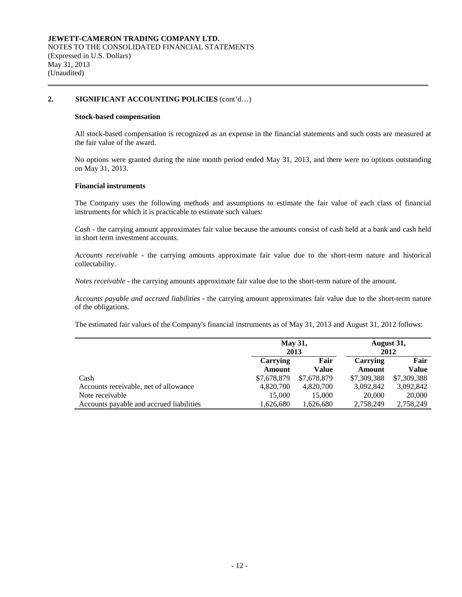#### **Stock-based compensation**

All stock-based compensation is recognized as an expense in the financial statements and such costs are measured at the fair value of the award.

No options were granted during the nine month period ended May 31, 2013, and there were no options outstanding on May 31, 2013.

#### **Financial instruments**

The Company uses the following methods and assumptions to estimate the fair value of each class of financial instruments for which it is practicable to estimate such values:

*Cash* - the carrying amount approximates fair value because the amounts consist of cash held at a bank and cash held in short term investment accounts.

*Accounts receivable* - the carrying amounts approximate fair value due to the short-term nature and historical collectability.

*Notes receivable -* the carrying amounts approximate fair value due to the short-term nature of the amount.

*Accounts payable and accrued liabilities* - the carrying amount approximates fair value due to the short-term nature of the obligations.

The estimated fair values of the Company's financial instruments as of May 31, 2013 and August 31, 2012 follows:

|                                          | <b>May 31,</b><br>August 31,<br>2013<br>2012 |                      |                    |               |
|------------------------------------------|----------------------------------------------|----------------------|--------------------|---------------|
|                                          | <b>Carrying</b><br><b>Amount</b>             | Fair                 | Carrying<br>Amount | Fair<br>Value |
| Cash                                     | \$7,678,879                                  | Value<br>\$7,678,879 | \$7,309,388        | \$7,309,388   |
| Accounts receivable, net of allowance    | 4,820,700                                    | 4,820,700            | 3,092,842          | 3,092,842     |
| Note receivable                          | 15,000                                       | 15,000               | 20,000             | 20,000        |
| Accounts payable and accrued liabilities | 1,626,680                                    | 1,626,680            | 2,758,249          | 2,758,249     |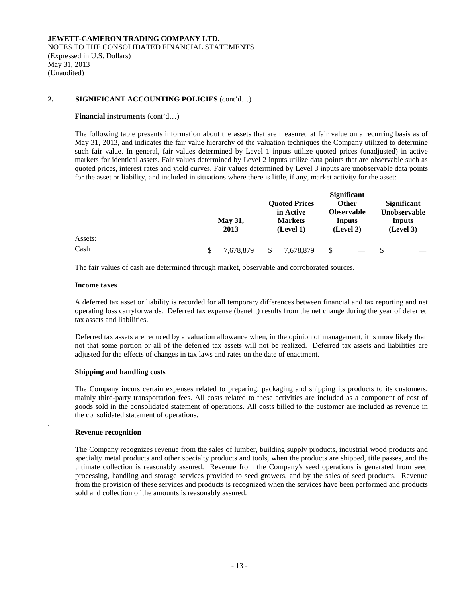#### **Financial instruments** (cont'd…)

The following table presents information about the assets that are measured at fair value on a recurring basis as of May 31, 2013, and indicates the fair value hierarchy of the valuation techniques the Company utilized to determine such fair value. In general, fair values determined by Level 1 inputs utilize quoted prices (unadjusted) in active markets for identical assets. Fair values determined by Level 2 inputs utilize data points that are observable such as quoted prices, interest rates and yield curves. Fair values determined by Level 3 inputs are unobservable data points for the asset or liability, and included in situations where there is little, if any, market activity for the asset:

|         | <b>May 31,</b><br>2013 | <b>Quoted Prices</b><br>in Active<br><b>Markets</b><br>(Level 1) | <b>Significant</b><br><b>Other</b><br><b>Observable</b><br>Inputs<br>(Level 2) | <b>Significant</b><br><b>Unobservable</b><br>Inputs<br>(Level 3) |
|---------|------------------------|------------------------------------------------------------------|--------------------------------------------------------------------------------|------------------------------------------------------------------|
| Assets: |                        |                                                                  |                                                                                |                                                                  |
| Cash    | 7,678,879              | 7.678.879                                                        | \$<br>$\overline{\phantom{0}}$                                                 |                                                                  |

The fair values of cash are determined through market, observable and corroborated sources.

#### **Income taxes**

A deferred tax asset or liability is recorded for all temporary differences between financial and tax reporting and net operating loss carryforwards. Deferred tax expense (benefit) results from the net change during the year of deferred tax assets and liabilities.

Deferred tax assets are reduced by a valuation allowance when, in the opinion of management, it is more likely than not that some portion or all of the deferred tax assets will not be realized. Deferred tax assets and liabilities are adjusted for the effects of changes in tax laws and rates on the date of enactment.

#### **Shipping and handling costs**

The Company incurs certain expenses related to preparing, packaging and shipping its products to its customers, mainly third-party transportation fees. All costs related to these activities are included as a component of cost of goods sold in the consolidated statement of operations. All costs billed to the customer are included as revenue in the consolidated statement of operations.

#### **Revenue recognition**

.

The Company recognizes revenue from the sales of lumber, building supply products, industrial wood products and specialty metal products and other specialty products and tools, when the products are shipped, title passes, and the ultimate collection is reasonably assured. Revenue from the Company's seed operations is generated from seed processing, handling and storage services provided to seed growers, and by the sales of seed products. Revenue from the provision of these services and products is recognized when the services have been performed and products sold and collection of the amounts is reasonably assured.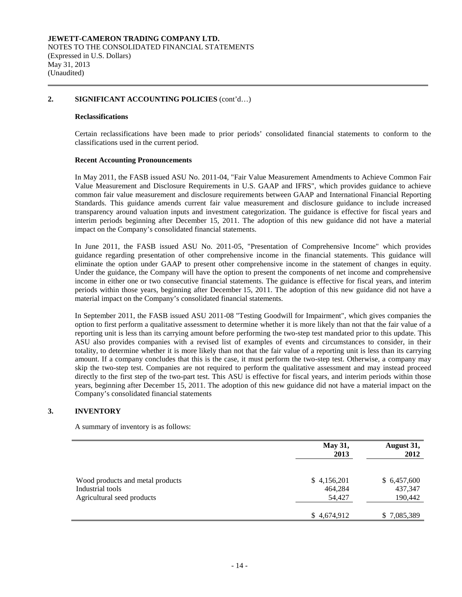#### **Reclassifications**

Certain reclassifications have been made to prior periods' consolidated financial statements to conform to the classifications used in the current period.

#### **Recent Accounting Pronouncements**

In May 2011, the FASB issued ASU No. 2011-04, "Fair Value Measurement Amendments to Achieve Common Fair Value Measurement and Disclosure Requirements in U.S. GAAP and IFRS", which provides guidance to achieve common fair value measurement and disclosure requirements between GAAP and International Financial Reporting Standards. This guidance amends current fair value measurement and disclosure guidance to include increased transparency around valuation inputs and investment categorization. The guidance is effective for fiscal years and interim periods beginning after December 15, 2011. The adoption of this new guidance did not have a material impact on the Company's consolidated financial statements.

In June 2011, the FASB issued ASU No. 2011-05, "Presentation of Comprehensive Income" which provides guidance regarding presentation of other comprehensive income in the financial statements. This guidance will eliminate the option under GAAP to present other comprehensive income in the statement of changes in equity. Under the guidance, the Company will have the option to present the components of net income and comprehensive income in either one or two consecutive financial statements. The guidance is effective for fiscal years, and interim periods within those years, beginning after December 15, 2011. The adoption of this new guidance did not have a material impact on the Company's consolidated financial statements.

In September 2011, the FASB issued ASU 2011-08 "Testing Goodwill for Impairment", which gives companies the option to first perform a qualitative assessment to determine whether it is more likely than not that the fair value of a reporting unit is less than its carrying amount before performing the two-step test mandated prior to this update. This ASU also provides companies with a revised list of examples of events and circumstances to consider, in their totality, to determine whether it is more likely than not that the fair value of a reporting unit is less than its carrying amount. If a company concludes that this is the case, it must perform the two-step test. Otherwise, a company may skip the two-step test. Companies are not required to perform the qualitative assessment and may instead proceed directly to the first step of the two-part test. This ASU is effective for fiscal years, and interim periods within those years, beginning after December 15, 2011. The adoption of this new guidance did not have a material impact on the Company's consolidated financial statements

#### **3. INVENTORY**

A summary of inventory is as follows:

|                                                                                    | <b>May 31,</b><br>2013           | August 31,<br>2012                |
|------------------------------------------------------------------------------------|----------------------------------|-----------------------------------|
| Wood products and metal products<br>Industrial tools<br>Agricultural seed products | \$4,156,201<br>464,284<br>54,427 | \$6,457,600<br>437,347<br>190,442 |
|                                                                                    | \$4,674,912                      | \$7,085,389                       |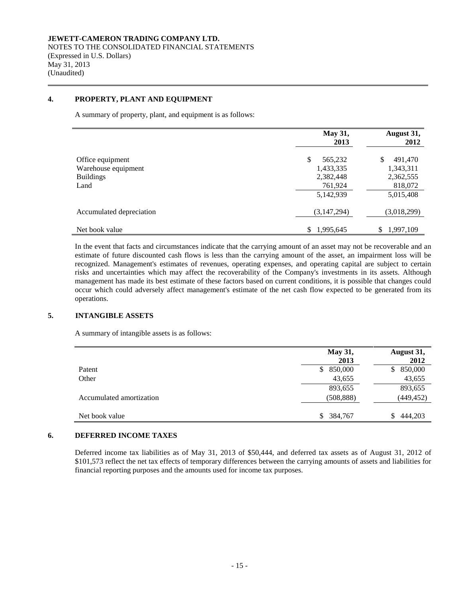# **4. PROPERTY, PLANT AND EQUIPMENT**

A summary of property, plant, and equipment is as follows:

|                          | <b>May 31,</b><br>2013 | August 31,<br>2012 |
|--------------------------|------------------------|--------------------|
| Office equipment         | \$<br>565,232          | \$<br>491,470      |
| Warehouse equipment      | 1,433,335              | 1,343,311          |
| <b>Buildings</b>         | 2,382,448              | 2,362,555          |
| Land                     | 761,924                | 818,072            |
|                          | 5,142,939              | 5,015,408          |
| Accumulated depreciation | (3, 147, 294)          | (3,018,299)        |
| Net book value           | \$<br>1,995,645        | 1,997,109<br>\$    |

In the event that facts and circumstances indicate that the carrying amount of an asset may not be recoverable and an estimate of future discounted cash flows is less than the carrying amount of the asset, an impairment loss will be recognized. Management's estimates of revenues, operating expenses, and operating capital are subject to certain risks and uncertainties which may affect the recoverability of the Company's investments in its assets. Although management has made its best estimate of these factors based on current conditions, it is possible that changes could occur which could adversely affect management's estimate of the net cash flow expected to be generated from its operations.

# **5. INTANGIBLE ASSETS**

A summary of intangible assets is as follows:

|                          | <b>May 31,</b><br>2013 | August 31,<br>2012 |
|--------------------------|------------------------|--------------------|
| Patent                   | 850,000<br>S.          | 850,000<br>\$      |
| Other                    | 43,655                 | 43,655             |
|                          | 893,655                | 893,655            |
| Accumulated amortization | (508, 888)             | (449, 452)         |
| Net book value           | 384,767<br>\$          | 444,203<br>S.      |

# **6. DEFERRED INCOME TAXES**

Deferred income tax liabilities as of May 31, 2013 of \$50,444, and deferred tax assets as of August 31, 2012 of \$101,573 reflect the net tax effects of temporary differences between the carrying amounts of assets and liabilities for financial reporting purposes and the amounts used for income tax purposes.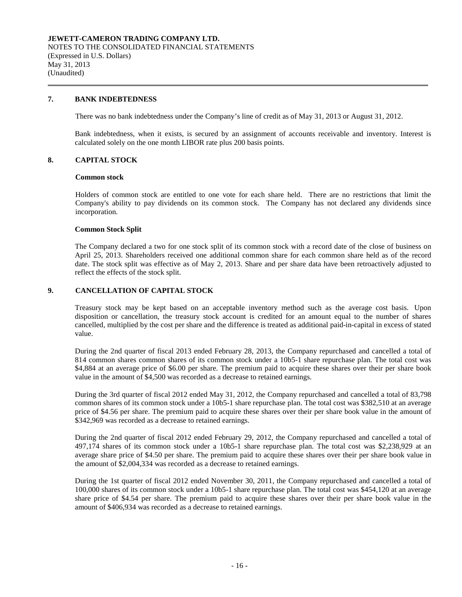# **7. BANK INDEBTEDNESS**

There was no bank indebtedness under the Company's line of credit as of May 31, 2013 or August 31, 2012.

Bank indebtedness, when it exists, is secured by an assignment of accounts receivable and inventory. Interest is calculated solely on the one month LIBOR rate plus 200 basis points.

#### **8. CAPITAL STOCK**

#### **Common stock**

Holders of common stock are entitled to one vote for each share held. There are no restrictions that limit the Company's ability to pay dividends on its common stock. The Company has not declared any dividends since incorporation.

#### **Common Stock Split**

The Company declared a two for one stock split of its common stock with a record date of the close of business on April 25, 2013. Shareholders received one additional common share for each common share held as of the record date. The stock split was effective as of May 2, 2013. Share and per share data have been retroactively adjusted to reflect the effects of the stock split.

#### **9. CANCELLATION OF CAPITAL STOCK**

Treasury stock may be kept based on an acceptable inventory method such as the average cost basis. Upon disposition or cancellation, the treasury stock account is credited for an amount equal to the number of shares cancelled, multiplied by the cost per share and the difference is treated as additional paid-in-capital in excess of stated value.

During the 2nd quarter of fiscal 2013 ended February 28, 2013, the Company repurchased and cancelled a total of 814 common shares common shares of its common stock under a 10b5-1 share repurchase plan. The total cost was \$4,884 at an average price of \$6.00 per share. The premium paid to acquire these shares over their per share book value in the amount of \$4,500 was recorded as a decrease to retained earnings.

During the 3rd quarter of fiscal 2012 ended May 31, 2012, the Company repurchased and cancelled a total of 83,798 common shares of its common stock under a 10b5-1 share repurchase plan. The total cost was \$382,510 at an average price of \$4.56 per share. The premium paid to acquire these shares over their per share book value in the amount of \$342,969 was recorded as a decrease to retained earnings.

During the 2nd quarter of fiscal 2012 ended February 29, 2012, the Company repurchased and cancelled a total of 497,174 shares of its common stock under a 10b5-1 share repurchase plan. The total cost was \$2,238,929 at an average share price of \$4.50 per share. The premium paid to acquire these shares over their per share book value in the amount of \$2,004,334 was recorded as a decrease to retained earnings.

During the 1st quarter of fiscal 2012 ended November 30, 2011, the Company repurchased and cancelled a total of 100,000 shares of its common stock under a 10b5-1 share repurchase plan. The total cost was \$454,120 at an average share price of \$4.54 per share. The premium paid to acquire these shares over their per share book value in the amount of \$406,934 was recorded as a decrease to retained earnings.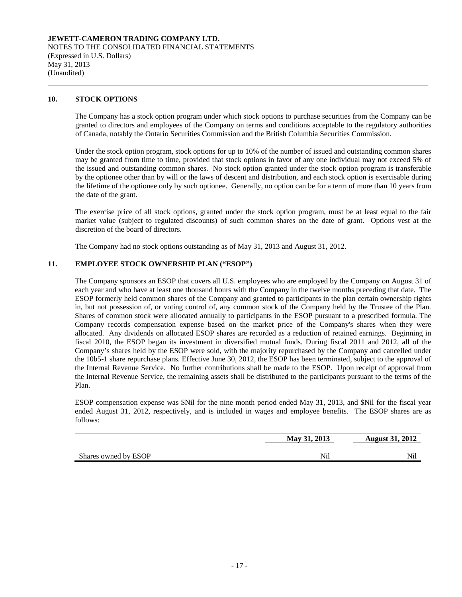#### **10. STOCK OPTIONS**

The Company has a stock option program under which stock options to purchase securities from the Company can be granted to directors and employees of the Company on terms and conditions acceptable to the regulatory authorities of Canada, notably the Ontario Securities Commission and the British Columbia Securities Commission.

Under the stock option program, stock options for up to 10% of the number of issued and outstanding common shares may be granted from time to time, provided that stock options in favor of any one individual may not exceed 5% of the issued and outstanding common shares. No stock option granted under the stock option program is transferable by the optionee other than by will or the laws of descent and distribution, and each stock option is exercisable during the lifetime of the optionee only by such optionee. Generally, no option can be for a term of more than 10 years from the date of the grant.

The exercise price of all stock options, granted under the stock option program, must be at least equal to the fair market value (subject to regulated discounts) of such common shares on the date of grant. Options vest at the discretion of the board of directors.

The Company had no stock options outstanding as of May 31, 2013 and August 31, 2012.

#### **11. EMPLOYEE STOCK OWNERSHIP PLAN ("ESOP")**

The Company sponsors an ESOP that covers all U.S. employees who are employed by the Company on August 31 of each year and who have at least one thousand hours with the Company in the twelve months preceding that date. The ESOP formerly held common shares of the Company and granted to participants in the plan certain ownership rights in, but not possession of, or voting control of, any common stock of the Company held by the Trustee of the Plan. Shares of common stock were allocated annually to participants in the ESOP pursuant to a prescribed formula. The Company records compensation expense based on the market price of the Company's shares when they were allocated. Any dividends on allocated ESOP shares are recorded as a reduction of retained earnings. Beginning in fiscal 2010, the ESOP began its investment in diversified mutual funds. During fiscal 2011 and 2012, all of the Company's shares held by the ESOP were sold, with the majority repurchased by the Company and cancelled under the 10b5-1 share repurchase plans. Effective June 30, 2012, the ESOP has been terminated, subject to the approval of the Internal Revenue Service. No further contributions shall be made to the ESOP. Upon receipt of approval from the Internal Revenue Service, the remaining assets shall be distributed to the participants pursuant to the terms of the Plan.

ESOP compensation expense was \$Nil for the nine month period ended May 31, 2013, and \$Nil for the fiscal year ended August 31, 2012, respectively, and is included in wages and employee benefits. The ESOP shares are as follows:

|                      | May 31, 2013 | <b>August 31, 2012</b> |
|----------------------|--------------|------------------------|
| Shares owned by ESOP | Nil          | Nil                    |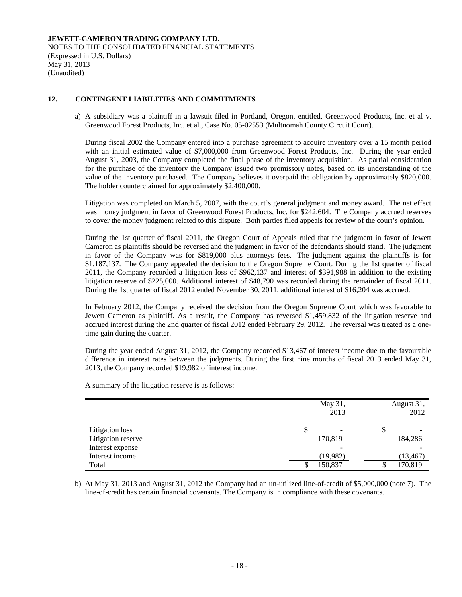# **12. CONTINGENT LIABILITIES AND COMMITMENTS**

a) A subsidiary was a plaintiff in a lawsuit filed in Portland, Oregon, entitled, Greenwood Products, Inc. et al v. Greenwood Forest Products, Inc. et al., Case No. 05-02553 (Multnomah County Circuit Court).

During fiscal 2002 the Company entered into a purchase agreement to acquire inventory over a 15 month period with an initial estimated value of \$7,000,000 from Greenwood Forest Products, Inc. During the year ended August 31, 2003, the Company completed the final phase of the inventory acquisition. As partial consideration for the purchase of the inventory the Company issued two promissory notes, based on its understanding of the value of the inventory purchased. The Company believes it overpaid the obligation by approximately \$820,000. The holder counterclaimed for approximately \$2,400,000.

Litigation was completed on March 5, 2007, with the court's general judgment and money award. The net effect was money judgment in favor of Greenwood Forest Products, Inc. for \$242,604. The Company accrued reserves to cover the money judgment related to this dispute. Both parties filed appeals for review of the court's opinion.

During the 1st quarter of fiscal 2011, the Oregon Court of Appeals ruled that the judgment in favor of Jewett Cameron as plaintiffs should be reversed and the judgment in favor of the defendants should stand. The judgment in favor of the Company was for \$819,000 plus attorneys fees. The judgment against the plaintiffs is for \$1,187,137. The Company appealed the decision to the Oregon Supreme Court. During the 1st quarter of fiscal 2011, the Company recorded a litigation loss of \$962,137 and interest of \$391,988 in addition to the existing litigation reserve of \$225,000. Additional interest of \$48,790 was recorded during the remainder of fiscal 2011. During the 1st quarter of fiscal 2012 ended November 30, 2011, additional interest of \$16,204 was accrued.

In February 2012, the Company received the decision from the Oregon Supreme Court which was favorable to Jewett Cameron as plaintiff. As a result, the Company has reversed \$1,459,832 of the litigation reserve and accrued interest during the 2nd quarter of fiscal 2012 ended February 29, 2012. The reversal was treated as a onetime gain during the quarter.

During the year ended August 31, 2012, the Company recorded \$13,467 of interest income due to the favourable difference in interest rates between the judgments. During the first nine months of fiscal 2013 ended May 31, 2013, the Company recorded \$19,982 of interest income.

A summary of the litigation reserve is as follows:

|                    | May 31,<br>2013                |   | August 31,<br>2012 |  |
|--------------------|--------------------------------|---|--------------------|--|
| Litigation loss    | \$<br>$\overline{\phantom{a}}$ | Φ |                    |  |
| Litigation reserve | 170,819                        |   | 184,286            |  |
| Interest expense   | -                              |   |                    |  |
| Interest income    | (19, 982)                      |   | (13, 467)          |  |
| Total              | 150,837                        |   | 170,819            |  |

b) At May 31, 2013 and August 31, 2012 the Company had an un-utilized line-of-credit of \$5,000,000 (note 7). The line-of-credit has certain financial covenants. The Company is in compliance with these covenants.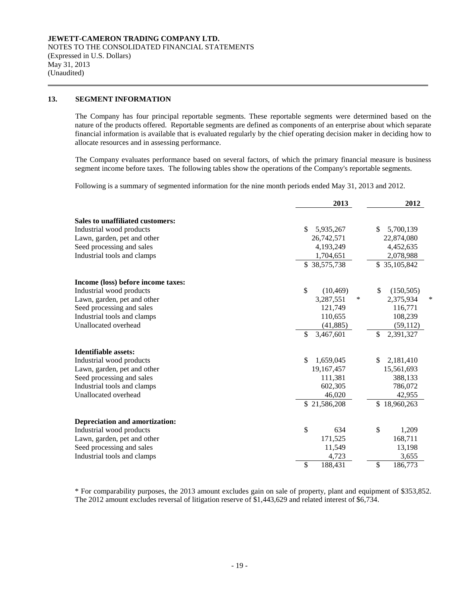# **13. SEGMENT INFORMATION**

The Company has four principal reportable segments. These reportable segments were determined based on the nature of the products offered. Reportable segments are defined as components of an enterprise about which separate financial information is available that is evaluated regularly by the chief operating decision maker in deciding how to allocate resources and in assessing performance.

The Company evaluates performance based on several factors, of which the primary financial measure is business segment income before taxes. The following tables show the operations of the Company's reportable segments.

Following is a summary of segmented information for the nine month periods ended May 31, 2013 and 2012.

|                                         | 2013                       | 2012             |  |
|-----------------------------------------|----------------------------|------------------|--|
|                                         |                            |                  |  |
| <b>Sales to unaffiliated customers:</b> |                            |                  |  |
| Industrial wood products                | \$<br>5,935,267            | \$<br>5,700,139  |  |
| Lawn, garden, pet and other             | 26,742,571                 | 22,874,080       |  |
| Seed processing and sales               | 4,193,249                  | 4,452,635        |  |
| Industrial tools and clamps             | 1,704,651                  | 2,078,988        |  |
|                                         | \$38,575,738               | \$ 35,105,842    |  |
| Income (loss) before income taxes:      |                            |                  |  |
| Industrial wood products                | $\mathcal{S}$<br>(10, 469) | \$<br>(150, 505) |  |
| Lawn, garden, pet and other             | 3,287,551<br>*             | 2,375,934<br>∗   |  |
| Seed processing and sales               | 121,749                    | 116,771          |  |
| Industrial tools and clamps             | 110,655                    | 108,239          |  |
| Unallocated overhead                    | (41, 885)                  | (59, 112)        |  |
|                                         | \$<br>3,467,601            | \$<br>2,391,327  |  |
| <b>Identifiable assets:</b>             |                            |                  |  |
| Industrial wood products                | \$<br>1,659,045            | \$<br>2,181,410  |  |
| Lawn, garden, pet and other             | 19,167,457                 | 15,561,693       |  |
| Seed processing and sales               | 111,381                    | 388,133          |  |
| Industrial tools and clamps             | 602,305                    | 786,072          |  |
| Unallocated overhead                    | 46,020                     | 42,955           |  |
|                                         | \$21,586,208               | \$18,960,263     |  |
| <b>Depreciation and amortization:</b>   |                            |                  |  |
| Industrial wood products                | \$<br>634                  | \$<br>1,209      |  |
| Lawn, garden, pet and other             | 171,525                    | 168,711          |  |
| Seed processing and sales               | 11,549                     | 13,198           |  |
|                                         |                            |                  |  |
| Industrial tools and clamps             | 4,723                      | 3,655            |  |
|                                         | \$<br>188,431              | \$<br>186,773    |  |

\* For comparability purposes, the 2013 amount excludes gain on sale of property, plant and equipment of \$353,852. The 2012 amount excludes reversal of litigation reserve of \$1,443,629 and related interest of \$6,734.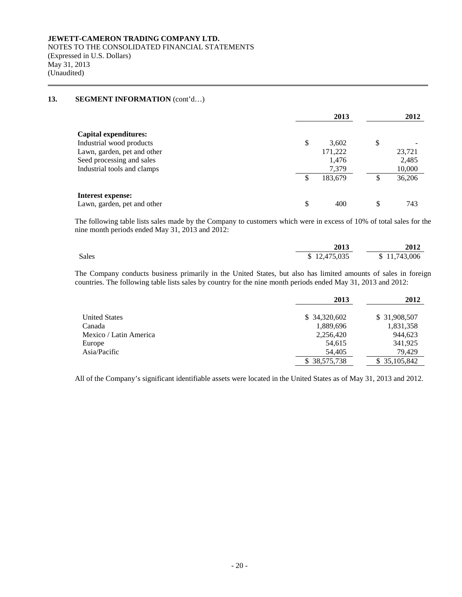# **JEWETT-CAMERON TRADING COMPANY LTD.** NOTES TO THE CONSOLIDATED FINANCIAL STATEMENTS (Expressed in U.S. Dollars) May 31, 2013 (Unaudited)

# 13. **SEGMENT INFORMATION** (cont'd...)

|                                                          | 2013 |                  |    | 2012             |  |
|----------------------------------------------------------|------|------------------|----|------------------|--|
| <b>Capital expenditures:</b><br>Industrial wood products | \$   | 3,602            | \$ |                  |  |
| Lawn, garden, pet and other                              |      | 171,222          |    | 23,721           |  |
| Seed processing and sales<br>Industrial tools and clamps |      | 1,476            |    | 2,485            |  |
|                                                          | S    | 7,379<br>183,679 | S  | 10,000<br>36,206 |  |
| Interest expense:<br>Lawn, garden, pet and other         | \$   | 400              | \$ | 743              |  |

The following table lists sales made by the Company to customers which were in excess of 10% of total sales for the nine month periods ended May 31, 2013 and 2012:

|       | 2013         | 2012         |
|-------|--------------|--------------|
| Sales | \$12,475,035 | \$11,743,006 |

The Company conducts business primarily in the United States, but also has limited amounts of sales in foreign countries. The following table lists sales by country for the nine month periods ended May 31, 2013 and 2012:

|                        | 2013          | 2012          |  |
|------------------------|---------------|---------------|--|
| <b>United States</b>   | \$ 34,320,602 | \$ 31,908,507 |  |
| Canada                 | 1,889,696     | 1,831,358     |  |
| Mexico / Latin America | 2,256,420     | 944,623       |  |
| Europe                 | 54,615        | 341,925       |  |
| Asia/Pacific           | 54,405        | 79.429        |  |
|                        | \$38,575,738  | \$35,105,842  |  |

All of the Company's significant identifiable assets were located in the United States as of May 31, 2013 and 2012.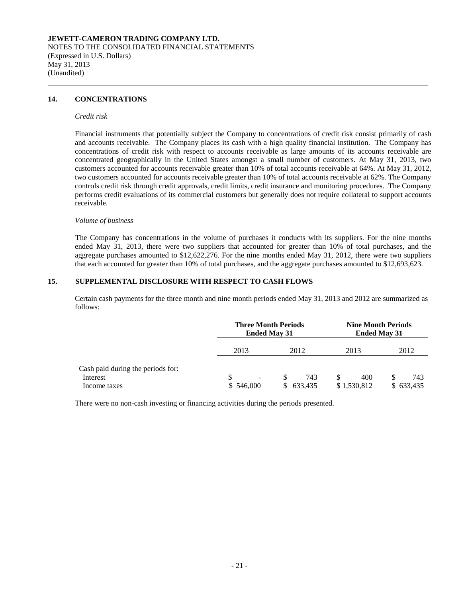#### **14. CONCENTRATIONS**

#### *Credit risk*

Financial instruments that potentially subject the Company to concentrations of credit risk consist primarily of cash and accounts receivable. The Company places its cash with a high quality financial institution. The Company has concentrations of credit risk with respect to accounts receivable as large amounts of its accounts receivable are concentrated geographically in the United States amongst a small number of customers. At May 31, 2013, two customers accounted for accounts receivable greater than 10% of total accounts receivable at 64%. At May 31, 2012, two customers accounted for accounts receivable greater than 10% of total accounts receivable at 62%. The Company controls credit risk through credit approvals, credit limits, credit insurance and monitoring procedures. The Company performs credit evaluations of its commercial customers but generally does not require collateral to support accounts receivable.

#### *Volume of business*

The Company has concentrations in the volume of purchases it conducts with its suppliers. For the nine months ended May 31, 2013, there were two suppliers that accounted for greater than 10% of total purchases, and the aggregate purchases amounted to \$12,622,276. For the nine months ended May 31, 2012, there were two suppliers that each accounted for greater than 10% of total purchases, and the aggregate purchases amounted to \$12,693,623.

#### **15. SUPPLEMENTAL DISCLOSURE WITH RESPECT TO CASH FLOWS**

Certain cash payments for the three month and nine month periods ended May 31, 2013 and 2012 are summarized as follows:

|                                   | <b>Three Month Periods</b><br><b>Ended May 31</b> |                | <b>Nine Month Periods</b><br><b>Ended May 31</b> |           |
|-----------------------------------|---------------------------------------------------|----------------|--------------------------------------------------|-----------|
|                                   | 2013                                              | 2012           | 2013                                             | 2012      |
| Cash paid during the periods for: |                                                   |                |                                                  |           |
| Interest                          | S<br>$\overline{\phantom{a}}$                     | 743<br>S.      | 400                                              | 743       |
| Income taxes                      | \$546,000                                         | 633,435<br>\$. | \$1,530,812                                      | \$633,435 |

There were no non-cash investing or financing activities during the periods presented.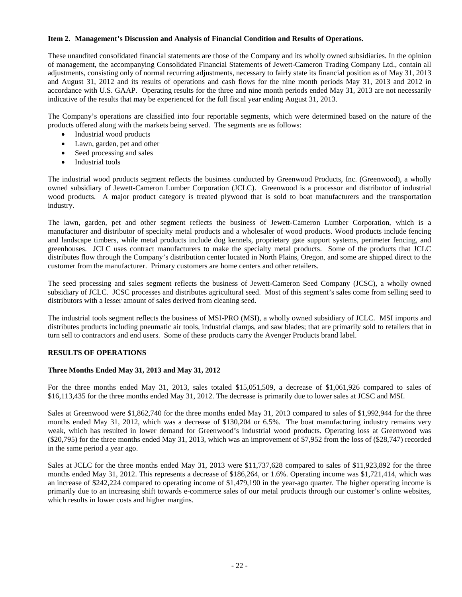#### **Item 2. Management's Discussion and Analysis of Financial Condition and Results of Operations.**

These unaudited consolidated financial statements are those of the Company and its wholly owned subsidiaries. In the opinion of management, the accompanying Consolidated Financial Statements of Jewett-Cameron Trading Company Ltd., contain all adjustments, consisting only of normal recurring adjustments, necessary to fairly state its financial position as of May 31, 2013 and August 31, 2012 and its results of operations and cash flows for the nine month periods May 31, 2013 and 2012 in accordance with U.S. GAAP. Operating results for the three and nine month periods ended May 31, 2013 are not necessarily indicative of the results that may be experienced for the full fiscal year ending August 31, 2013.

The Company's operations are classified into four reportable segments, which were determined based on the nature of the products offered along with the markets being served. The segments are as follows:

- Industrial wood products
- Lawn, garden, pet and other
- Seed processing and sales
- Industrial tools

The industrial wood products segment reflects the business conducted by Greenwood Products, Inc. (Greenwood), a wholly owned subsidiary of Jewett-Cameron Lumber Corporation (JCLC). Greenwood is a processor and distributor of industrial wood products. A major product category is treated plywood that is sold to boat manufacturers and the transportation industry.

The lawn, garden, pet and other segment reflects the business of Jewett-Cameron Lumber Corporation, which is a manufacturer and distributor of specialty metal products and a wholesaler of wood products. Wood products include fencing and landscape timbers, while metal products include dog kennels, proprietary gate support systems, perimeter fencing, and greenhouses. JCLC uses contract manufacturers to make the specialty metal products. Some of the products that JCLC distributes flow through the Company's distribution center located in North Plains, Oregon, and some are shipped direct to the customer from the manufacturer. Primary customers are home centers and other retailers.

The seed processing and sales segment reflects the business of Jewett-Cameron Seed Company (JCSC), a wholly owned subsidiary of JCLC. JCSC processes and distributes agricultural seed. Most of this segment's sales come from selling seed to distributors with a lesser amount of sales derived from cleaning seed.

The industrial tools segment reflects the business of MSI-PRO (MSI), a wholly owned subsidiary of JCLC. MSI imports and distributes products including pneumatic air tools, industrial clamps, and saw blades; that are primarily sold to retailers that in turn sell to contractors and end users. Some of these products carry the Avenger Products brand label.

# **RESULTS OF OPERATIONS**

# **Three Months Ended May 31, 2013 and May 31, 2012**

For the three months ended May 31, 2013, sales totaled \$15,051,509, a decrease of \$1,061,926 compared to sales of \$16,113,435 for the three months ended May 31, 2012. The decrease is primarily due to lower sales at JCSC and MSI.

Sales at Greenwood were \$1,862,740 for the three months ended May 31, 2013 compared to sales of \$1,992,944 for the three months ended May 31, 2012, which was a decrease of \$130,204 or 6.5%. The boat manufacturing industry remains very weak, which has resulted in lower demand for Greenwood's industrial wood products. Operating loss at Greenwood was (\$20,795) for the three months ended May 31, 2013, which was an improvement of \$7,952 from the loss of (\$28,747) recorded in the same period a year ago.

Sales at JCLC for the three months ended May 31, 2013 were \$11,737,628 compared to sales of \$11,923,892 for the three months ended May 31, 2012. This represents a decrease of \$186,264, or 1.6%. Operating income was \$1,721,414, which was an increase of \$242,224 compared to operating income of \$1,479,190 in the year-ago quarter. The higher operating income is primarily due to an increasing shift towards e-commerce sales of our metal products through our customer's online websites, which results in lower costs and higher margins.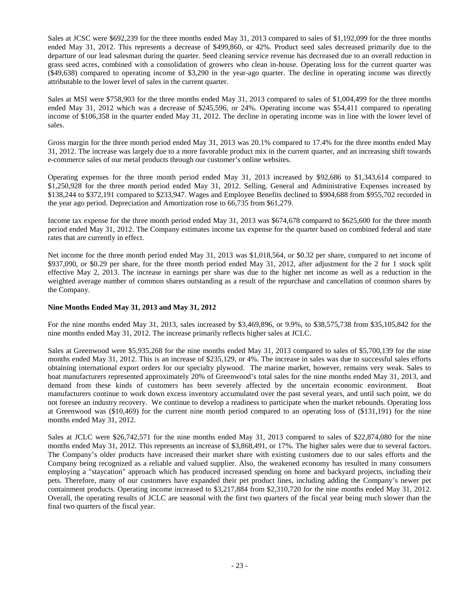Sales at JCSC were \$692,239 for the three months ended May 31, 2013 compared to sales of \$1,192,099 for the three months ended May 31, 2012. This represents a decrease of \$499,860, or 42%. Product seed sales decreased primarily due to the departure of our lead salesman during the quarter. Seed cleaning service revenue has decreased due to an overall reduction in grass seed acres, combined with a consolidation of growers who clean in-house. Operating loss for the current quarter was (\$49,638) compared to operating income of \$3,290 in the year-ago quarter. The decline in operating income was directly attributable to the lower level of sales in the current quarter.

Sales at MSI were \$758,903 for the three months ended May 31, 2013 compared to sales of \$1,004,499 for the three months ended May 31, 2012 which was a decrease of \$245,596, or 24%. Operating income was \$54,411 compared to operating income of \$106,358 in the quarter ended May 31, 2012. The decline in operating income was in line with the lower level of sales.

Gross margin for the three month period ended May 31, 2013 was 20.1% compared to 17.4% for the three months ended May 31, 2012. The increase was largely due to a more favorable product mix in the current quarter, and an increasing shift towards e-commerce sales of our metal products through our customer's online websites.

Operating expenses for the three month period ended May 31, 2013 increased by \$92,686 to \$1,343,614 compared to \$1,250,928 for the three month period ended May 31, 2012. Selling, General and Administrative Expenses increased by \$138,244 to \$372,191 compared to \$233,947. Wages and Employee Benefits declined to \$904,688 from \$955,702 recorded in the year ago period. Depreciation and Amortization rose to 66,735 from \$61,279.

Income tax expense for the three month period ended May 31, 2013 was \$674,678 compared to \$625,600 for the three month period ended May 31, 2012. The Company estimates income tax expense for the quarter based on combined federal and state rates that are currently in effect.

Net income for the three month period ended May 31, 2013 was \$1,018,564, or \$0.32 per share, compared to net income of \$937,090, or \$0.29 per share, for the three month period ended May 31, 2012, after adjustment for the 2 for 1 stock split effective May 2, 2013. The increase in earnings per share was due to the higher net income as well as a reduction in the weighted average number of common shares outstanding as a result of the repurchase and cancellation of common shares by the Company.

# **Nine Months Ended May 31, 2013 and May 31, 2012**

For the nine months ended May 31, 2013, sales increased by \$3,469,896, or 9.9%, to \$38,575,738 from \$35,105,842 for the nine months ended May 31, 2012. The increase primarily reflects higher sales at JCLC.

Sales at Greenwood were \$5,935,268 for the nine months ended May 31, 2013 compared to sales of \$5,700,139 for the nine months ended May 31, 2012. This is an increase of \$235,129, or 4%. The increase in sales was due to successful sales efforts obtaining international export orders for our specialty plywood. The marine market, however, remains very weak. Sales to boat manufacturers represented approximately 20% of Greenwood's total sales for the nine months ended May 31, 2013, and demand from these kinds of customers has been severely affected by the uncertain economic environment. Boat manufacturers continue to work down excess inventory accumulated over the past several years, and until such point, we do not foresee an industry recovery. We continue to develop a readiness to participate when the market rebounds. Operating loss at Greenwood was (\$10,469) for the current nine month period compared to an operating loss of (\$131,191) for the nine months ended May 31, 2012.

Sales at JCLC were \$26,742,571 for the nine months ended May 31, 2013 compared to sales of \$22,874,080 for the nine months ended May 31, 2012. This represents an increase of \$3,868,491, or 17%. The higher sales were due to several factors. The Company's older products have increased their market share with existing customers due to our sales efforts and the Company being recognized as a reliable and valued supplier. Also, the weakened economy has resulted in many consumers employing a "staycation" approach which has produced increased spending on home and backyard projects, including their pets. Therefore, many of our customers have expanded their pet product lines, including adding the Company's newer pet containment products. Operating income increased to \$3,217,884 from \$2,310,720 for the nine months ended May 31, 2012. Overall, the operating results of JCLC are seasonal with the first two quarters of the fiscal year being much slower than the final two quarters of the fiscal year.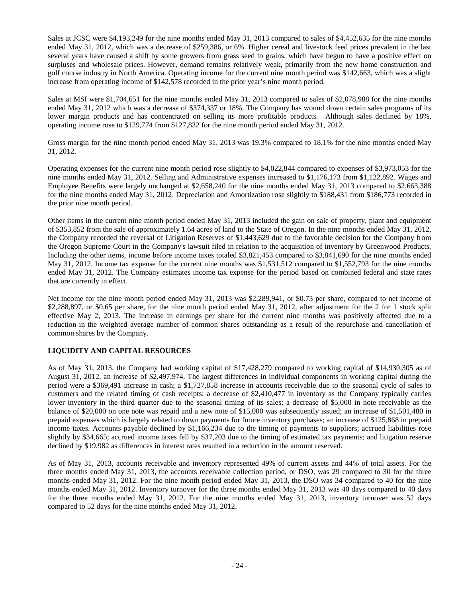Sales at JCSC were \$4,193,249 for the nine months ended May 31, 2013 compared to sales of \$4,452,635 for the nine months ended May 31, 2012, which was a decrease of \$259,386, or 6%. Higher cereal and livestock feed prices prevalent in the last several years have caused a shift by some growers from grass seed to grains, which have begun to have a positive effect on surpluses and wholesale prices. However, demand remains relatively weak, primarily from the new home construction and golf course industry in North America. Operating income for the current nine month period was \$142,663, which was a slight increase from operating income of \$142,578 recorded in the prior year's nine month period.

Sales at MSI were \$1,704,651 for the nine months ended May 31, 2013 compared to sales of \$2,078,988 for the nine months ended May 31, 2012 which was a decrease of \$374,337 or 18%. The Company has wound down certain sales programs of its lower margin products and has concentrated on selling its more profitable products. Although sales declined by 18%, operating income rose to \$129,774 from \$127,832 for the nine month period ended May 31, 2012.

Gross margin for the nine month period ended May 31, 2013 was 19.3% compared to 18.1% for the nine months ended May 31, 2012.

Operating expenses for the current nine month period rose slightly to \$4,022,844 compared to expenses of \$3,973,053 for the nine months ended May 31, 2012. Selling and Administrative expenses increased to \$1,176,173 from \$1,122,892. Wages and Employee Benefits were largely unchanged at \$2,658,240 for the nine months ended May 31, 2013 compared to \$2,663,388 for the nine months ended May 31, 2012. Depreciation and Amortization rose slightly to \$188,431 from \$186,773 recorded in the prior nine month period.

Other items in the current nine month period ended May 31, 2013 included the gain on sale of property, plant and equipment of \$353,852 from the sale of approximately 1.64 acres of land to the State of Oregon. In the nine months ended May 31, 2012, the Company recorded the reversal of Litigation Reserves of \$1,443,629 due to the favorable decision for the Company from the Oregon Supreme Court in the Company's lawsuit filed in relation to the acquisition of inventory by Greenwood Products. Including the other items, income before income taxes totaled \$3,821,453 compared to \$3,841,690 for the nine months ended May 31, 2012. Income tax expense for the current nine months was \$1,531,512 compared to \$1,552,793 for the nine months ended May 31, 2012. The Company estimates income tax expense for the period based on combined federal and state rates that are currently in effect.

Net income for the nine month period ended May 31, 2013 was \$2,289,941, or \$0.73 per share, compared to net income of \$2,288,897, or \$0.65 per share, for the nine month period ended May 31, 2012, after adjustment for the 2 for 1 stock split effective May 2, 2013. The increase in earnings per share for the current nine months was positively affected due to a reduction in the weighted average number of common shares outstanding as a result of the repurchase and cancellation of common shares by the Company.

# **LIQUIDITY AND CAPITAL RESOURCES**

As of May 31, 2013, the Company had working capital of \$17,428,279 compared to working capital of \$14,930,305 as of August 31, 2012, an increase of \$2,497,974. The largest differences in individual components in working capital during the period were a \$369,491 increase in cash; a \$1,727,858 increase in accounts receivable due to the seasonal cycle of sales to customers and the related timing of cash receipts; a decrease of \$2,410,477 in inventory as the Company typically carries lower inventory in the third quarter due to the seasonal timing of its sales; a decrease of \$5,000 in note receivable as the balance of \$20,000 on one note was repaid and a new note of \$15,000 was subsequently issued; an increase of \$1,501,480 in prepaid expenses which is largely related to down payments for future inventory purchases; an increase of \$125,868 in prepaid income taxes. Accounts payable declined by \$1,166,234 due to the timing of payments to suppliers; accrued liabilities rose slightly by \$34,665; accrued income taxes fell by \$37,203 due to the timing of estimated tax payments; and litigation reserve declined by \$19,982 as differences in interest rates resulted in a reduction in the amount reserved.

As of May 31, 2013, accounts receivable and inventory represented 49% of current assets and 44% of total assets. For the three months ended May 31, 2013, the accounts receivable collection period, or DSO, was 29 compared to 30 for the three months ended May 31, 2012. For the nine month period ended May 31, 2013, the DSO was 34 compared to 40 for the nine months ended May 31, 2012. Inventory turnover for the three months ended May 31, 2013 was 40 days compared to 40 days for the three months ended May 31, 2012. For the nine months ended May 31, 2013, inventory turnover was 52 days compared to 52 days for the nine months ended May 31, 2012.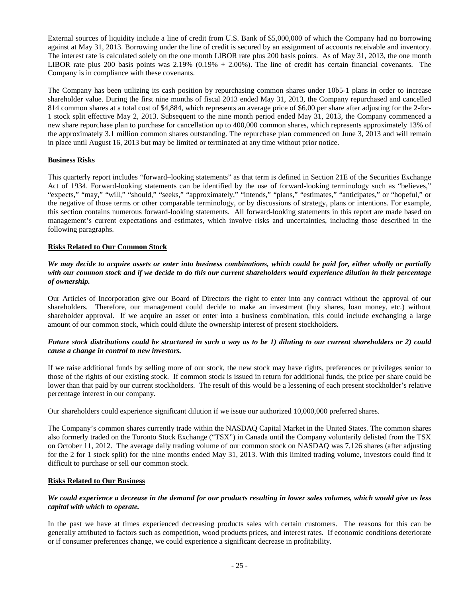External sources of liquidity include a line of credit from U.S. Bank of \$5,000,000 of which the Company had no borrowing against at May 31, 2013. Borrowing under the line of credit is secured by an assignment of accounts receivable and inventory. The interest rate is calculated solely on the one month LIBOR rate plus 200 basis points. As of May 31, 2013, the one month LIBOR rate plus 200 basis points was  $2.19\%$  (0.19% + 2.00%). The line of credit has certain financial covenants. The Company is in compliance with these covenants.

The Company has been utilizing its cash position by repurchasing common shares under 10b5-1 plans in order to increase shareholder value. During the first nine months of fiscal 2013 ended May 31, 2013, the Company repurchased and cancelled 814 common shares at a total cost of \$4,884, which represents an average price of \$6.00 per share after adjusting for the 2-for-1 stock split effective May 2, 2013. Subsequent to the nine month period ended May 31, 2013, the Company commenced a new share repurchase plan to purchase for cancellation up to 400,000 common shares, which represents approximately 13% of the approximately 3.1 million common shares outstanding. The repurchase plan commenced on June 3, 2013 and will remain in place until August 16, 2013 but may be limited or terminated at any time without prior notice.

#### **Business Risks**

This quarterly report includes "forward–looking statements" as that term is defined in Section 21E of the Securities Exchange Act of 1934. Forward-looking statements can be identified by the use of forward-looking terminology such as "believes," "expects," "may," "will," "should," "seeks," "approximately," "intends," "plans," "estimates," "anticipates," or "hopeful," or the negative of those terms or other comparable terminology, or by discussions of strategy, plans or intentions. For example, this section contains numerous forward-looking statements. All forward-looking statements in this report are made based on management's current expectations and estimates, which involve risks and uncertainties, including those described in the following paragraphs.

#### **Risks Related to Our Common Stock**

#### *We may decide to acquire assets or enter into business combinations, which could be paid for, either wholly or partially with our common stock and if we decide to do this our current shareholders would experience dilution in their percentage of ownership.*

Our Articles of Incorporation give our Board of Directors the right to enter into any contract without the approval of our shareholders. Therefore, our management could decide to make an investment (buy shares, loan money, etc.) without shareholder approval. If we acquire an asset or enter into a business combination, this could include exchanging a large amount of our common stock, which could dilute the ownership interest of present stockholders.

#### *Future stock distributions could be structured in such a way as to be 1) diluting to our current shareholders or 2) could cause a change in control to new investors.*

If we raise additional funds by selling more of our stock, the new stock may have rights, preferences or privileges senior to those of the rights of our existing stock. If common stock is issued in return for additional funds, the price per share could be lower than that paid by our current stockholders. The result of this would be a lessening of each present stockholder's relative percentage interest in our company.

Our shareholders could experience significant dilution if we issue our authorized 10,000,000 preferred shares.

The Company's common shares currently trade within the NASDAQ Capital Market in the United States. The common shares also formerly traded on the Toronto Stock Exchange ("TSX") in Canada until the Company voluntarily delisted from the TSX on October 11, 2012. The average daily trading volume of our common stock on NASDAQ was 7,126 shares (after adjusting for the 2 for 1 stock split) for the nine months ended May 31, 2013. With this limited trading volume, investors could find it difficult to purchase or sell our common stock.

#### **Risks Related to Our Business**

# *We could experience a decrease in the demand for our products resulting in lower sales volumes, which would give us less capital with which to operate.*

In the past we have at times experienced decreasing products sales with certain customers. The reasons for this can be generally attributed to factors such as competition, wood products prices, and interest rates. If economic conditions deteriorate or if consumer preferences change, we could experience a significant decrease in profitability.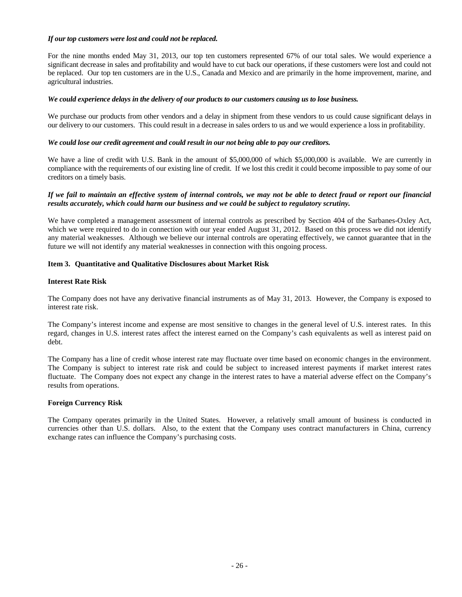#### *If our top customers were lost and could not be replaced.*

For the nine months ended May 31, 2013, our top ten customers represented 67% of our total sales. We would experience a significant decrease in sales and profitability and would have to cut back our operations, if these customers were lost and could not be replaced. Our top ten customers are in the U.S., Canada and Mexico and are primarily in the home improvement, marine, and agricultural industries.

# *We could experience delays in the delivery of our products to our customers causing us to lose business.*

We purchase our products from other vendors and a delay in shipment from these vendors to us could cause significant delays in our delivery to our customers. This could result in a decrease in sales orders to us and we would experience a loss in profitability.

#### *We could lose our credit agreement and could result in our not being able to pay our creditors.*

We have a line of credit with U.S. Bank in the amount of \$5,000,000 of which \$5,000,000 is available. We are currently in compliance with the requirements of our existing line of credit. If we lost this credit it could become impossible to pay some of our creditors on a timely basis.

#### *If we fail to maintain an effective system of internal controls, we may not be able to detect fraud or report our financial results accurately, which could harm our business and we could be subject to regulatory scrutiny.*

We have completed a management assessment of internal controls as prescribed by Section 404 of the Sarbanes-Oxley Act, which we were required to do in connection with our year ended August 31, 2012. Based on this process we did not identify any material weaknesses. Although we believe our internal controls are operating effectively, we cannot guarantee that in the future we will not identify any material weaknesses in connection with this ongoing process.

#### **Item 3. Quantitative and Qualitative Disclosures about Market Risk**

#### **Interest Rate Risk**

The Company does not have any derivative financial instruments as of May 31, 2013. However, the Company is exposed to interest rate risk.

The Company's interest income and expense are most sensitive to changes in the general level of U.S. interest rates. In this regard, changes in U.S. interest rates affect the interest earned on the Company's cash equivalents as well as interest paid on debt.

The Company has a line of credit whose interest rate may fluctuate over time based on economic changes in the environment. The Company is subject to interest rate risk and could be subject to increased interest payments if market interest rates fluctuate. The Company does not expect any change in the interest rates to have a material adverse effect on the Company's results from operations.

# **Foreign Currency Risk**

The Company operates primarily in the United States. However, a relatively small amount of business is conducted in currencies other than U.S. dollars. Also, to the extent that the Company uses contract manufacturers in China, currency exchange rates can influence the Company's purchasing costs.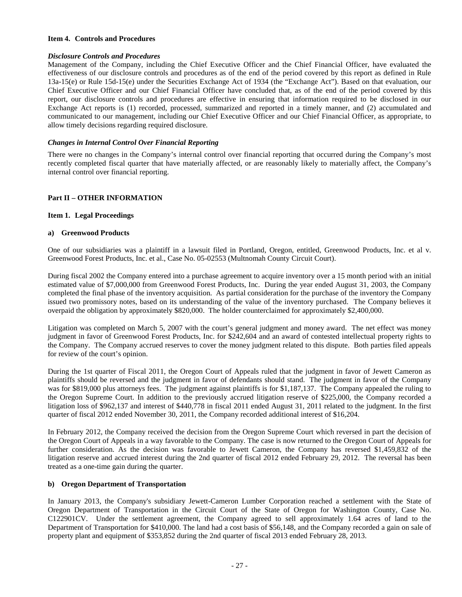#### **Item 4. Controls and Procedures**

# *Disclosure Controls and Procedures*

Management of the Company, including the Chief Executive Officer and the Chief Financial Officer, have evaluated the effectiveness of our disclosure controls and procedures as of the end of the period covered by this report as defined in Rule 13a-15(e) or Rule 15d-15(e) under the Securities Exchange Act of 1934 (the "Exchange Act"). Based on that evaluation, our Chief Executive Officer and our Chief Financial Officer have concluded that, as of the end of the period covered by this report, our disclosure controls and procedures are effective in ensuring that information required to be disclosed in our Exchange Act reports is (1) recorded, processed, summarized and reported in a timely manner, and (2) accumulated and communicated to our management, including our Chief Executive Officer and our Chief Financial Officer, as appropriate, to allow timely decisions regarding required disclosure.

# *Changes in Internal Control Over Financial Reporting*

There were no changes in the Company's internal control over financial reporting that occurred during the Company's most recently completed fiscal quarter that have materially affected, or are reasonably likely to materially affect, the Company's internal control over financial reporting.

# **Part II – OTHER INFORMATION**

# **Item 1. Legal Proceedings**

# **a) Greenwood Products**

One of our subsidiaries was a plaintiff in a lawsuit filed in Portland, Oregon, entitled, Greenwood Products, Inc. et al v. Greenwood Forest Products, Inc. et al., Case No. 05-02553 (Multnomah County Circuit Court).

During fiscal 2002 the Company entered into a purchase agreement to acquire inventory over a 15 month period with an initial estimated value of \$7,000,000 from Greenwood Forest Products, Inc. During the year ended August 31, 2003, the Company completed the final phase of the inventory acquisition. As partial consideration for the purchase of the inventory the Company issued two promissory notes, based on its understanding of the value of the inventory purchased. The Company believes it overpaid the obligation by approximately \$820,000. The holder counterclaimed for approximately \$2,400,000.

Litigation was completed on March 5, 2007 with the court's general judgment and money award. The net effect was money judgment in favor of Greenwood Forest Products, Inc. for \$242,604 and an award of contested intellectual property rights to the Company. The Company accrued reserves to cover the money judgment related to this dispute. Both parties filed appeals for review of the court's opinion.

During the 1st quarter of Fiscal 2011, the Oregon Court of Appeals ruled that the judgment in favor of Jewett Cameron as plaintiffs should be reversed and the judgment in favor of defendants should stand. The judgment in favor of the Company was for \$819,000 plus attorneys fees. The judgment against plaintiffs is for \$1,187,137. The Company appealed the ruling to the Oregon Supreme Court. In addition to the previously accrued litigation reserve of \$225,000, the Company recorded a litigation loss of \$962,137 and interest of \$440,778 in fiscal 2011 ended August 31, 2011 related to the judgment. In the first quarter of fiscal 2012 ended November 30, 2011, the Company recorded additional interest of \$16,204.

In February 2012, the Company received the decision from the Oregon Supreme Court which reversed in part the decision of the Oregon Court of Appeals in a way favorable to the Company. The case is now returned to the Oregon Court of Appeals for further consideration. As the decision was favorable to Jewett Cameron, the Company has reversed \$1,459,832 of the litigation reserve and accrued interest during the 2nd quarter of fiscal 2012 ended February 29, 2012. The reversal has been treated as a one-time gain during the quarter.

# **b) Oregon Department of Transportation**

In January 2013, the Company's subsidiary Jewett-Cameron Lumber Corporation reached a settlement with the State of Oregon Department of Transportation in the Circuit Court of the State of Oregon for Washington County, Case No. C122901CV. Under the settlement agreement, the Company agreed to sell approximately 1.64 acres of land to the Department of Transportation for \$410,000. The land had a cost basis of \$56,148, and the Company recorded a gain on sale of property plant and equipment of \$353,852 during the 2nd quarter of fiscal 2013 ended February 28, 2013.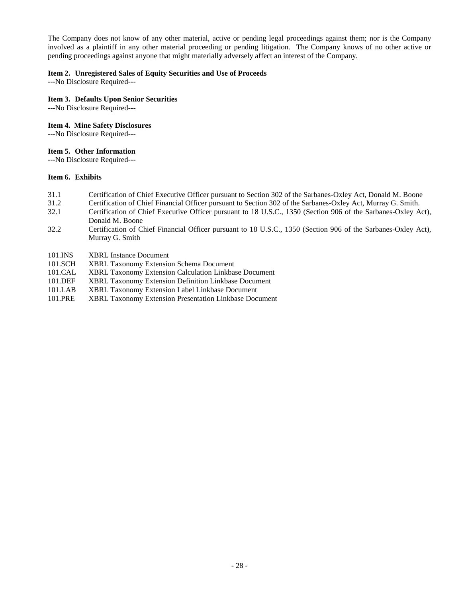The Company does not know of any other material, active or pending legal proceedings against them; nor is the Company involved as a plaintiff in any other material proceeding or pending litigation. The Company knows of no other active or pending proceedings against anyone that might materially adversely affect an interest of the Company.

#### **Item 2. Unregistered Sales of Equity Securities and Use of Proceeds**

---No Disclosure Required---

#### **Item 3. Defaults Upon Senior Securities**

---No Disclosure Required---

#### **Item 4. Mine Safety Disclosures**

---No Disclosure Required---

#### **Item 5. Other Information**

---No Disclosure Required---

#### **Item 6. Exhibits**

- 31.1 Certification of Chief Executive Officer pursuant to Section 302 of the Sarbanes-Oxley Act, Donald M. Boone
- 31.2 Certification of Chief Financial Officer pursuant to Section 302 of the Sarbanes-Oxley Act, Murray G. Smith.
- 32.1 Certification of Chief Executive Officer pursuant to 18 U.S.C., 1350 (Section 906 of the Sarbanes-Oxley Act), Donald M. Boone
- 32.2 Certification of Chief Financial Officer pursuant to 18 U.S.C., 1350 (Section 906 of the Sarbanes-Oxley Act), Murray G. Smith
- 
- 101.INS XBRL Instance Document<br>101.SCH XBRL Taxonomy Extensio XBRL Taxonomy Extension Schema Document
- 101.CAL XBRL Taxonomy Extension Calculation Linkbase Document
- 101.DEF XBRL Taxonomy Extension Definition Linkbase Document
- 101.LAB XBRL Taxonomy Extension Label Linkbase Document
- 101.PRE XBRL Taxonomy Extension Presentation Linkbase Document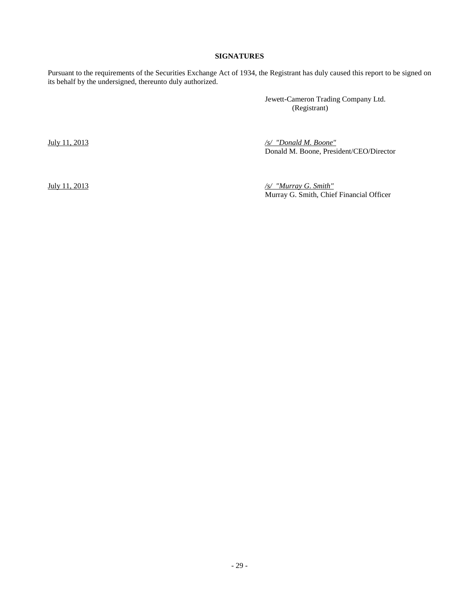#### **SIGNATURES**

Pursuant to the requirements of the Securities Exchange Act of 1934, the Registrant has duly caused this report to be signed on its behalf by the undersigned, thereunto duly authorized.

> Jewett-Cameron Trading Company Ltd. (Registrant)

July 11, 2013 */s/ "Donald M. Boone"* Donald M. Boone, President/CEO/Director

July 11, 2013 */s/ "Murray G. Smith"* Murray G. Smith, Chief Financial Officer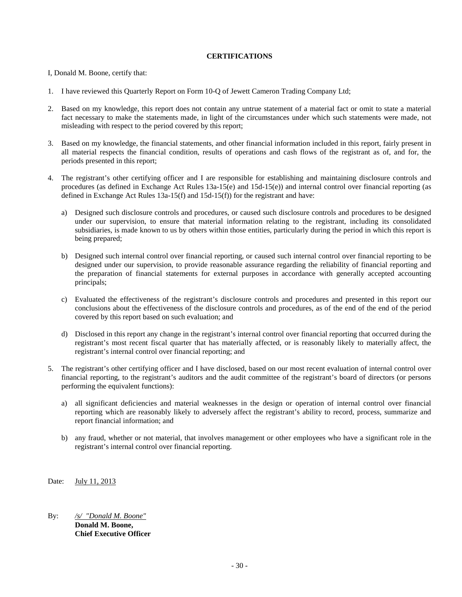# **CERTIFICATIONS**

I, Donald M. Boone, certify that:

- 1. I have reviewed this Quarterly Report on Form 10-Q of Jewett Cameron Trading Company Ltd;
- 2. Based on my knowledge, this report does not contain any untrue statement of a material fact or omit to state a material fact necessary to make the statements made, in light of the circumstances under which such statements were made, not misleading with respect to the period covered by this report;
- 3. Based on my knowledge, the financial statements, and other financial information included in this report, fairly present in all material respects the financial condition, results of operations and cash flows of the registrant as of, and for, the periods presented in this report;
- 4. The registrant's other certifying officer and I are responsible for establishing and maintaining disclosure controls and procedures (as defined in Exchange Act Rules 13a-15(e) and 15d-15(e)) and internal control over financial reporting (as defined in Exchange Act Rules 13a-15(f) and 15d-15(f)) for the registrant and have:
	- a) Designed such disclosure controls and procedures, or caused such disclosure controls and procedures to be designed under our supervision, to ensure that material information relating to the registrant, including its consolidated subsidiaries, is made known to us by others within those entities, particularly during the period in which this report is being prepared;
	- b) Designed such internal control over financial reporting, or caused such internal control over financial reporting to be designed under our supervision, to provide reasonable assurance regarding the reliability of financial reporting and the preparation of financial statements for external purposes in accordance with generally accepted accounting principals;
	- c) Evaluated the effectiveness of the registrant's disclosure controls and procedures and presented in this report our conclusions about the effectiveness of the disclosure controls and procedures, as of the end of the end of the period covered by this report based on such evaluation; and
	- d) Disclosed in this report any change in the registrant's internal control over financial reporting that occurred during the registrant's most recent fiscal quarter that has materially affected, or is reasonably likely to materially affect, the registrant's internal control over financial reporting; and
- 5. The registrant's other certifying officer and I have disclosed, based on our most recent evaluation of internal control over financial reporting, to the registrant's auditors and the audit committee of the registrant's board of directors (or persons performing the equivalent functions):
	- a) all significant deficiencies and material weaknesses in the design or operation of internal control over financial reporting which are reasonably likely to adversely affect the registrant's ability to record, process, summarize and report financial information; and
	- b) any fraud, whether or not material, that involves management or other employees who have a significant role in the registrant's internal control over financial reporting.

Date: July 11, 2013

By: */s/ "Donald M. Boone"* **Donald M. Boone, Chief Executive Officer**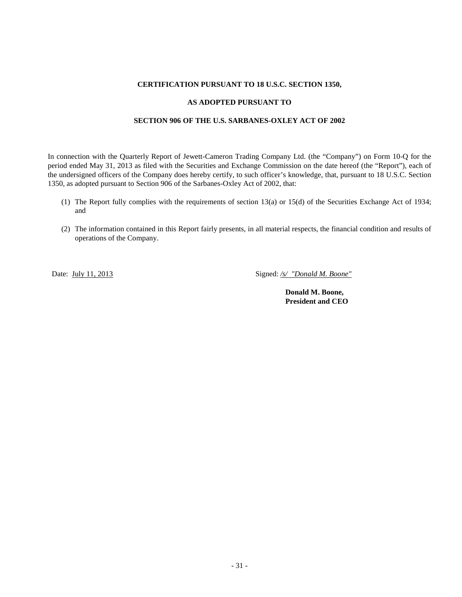#### **CERTIFICATION PURSUANT TO 18 U.S.C. SECTION 1350,**

#### **AS ADOPTED PURSUANT TO**

# **SECTION 906 OF THE U.S. SARBANES-OXLEY ACT OF 2002**

In connection with the Quarterly Report of Jewett-Cameron Trading Company Ltd. (the "Company") on Form 10-Q for the period ended May 31, 2013 as filed with the Securities and Exchange Commission on the date hereof (the "Report"), each of the undersigned officers of the Company does hereby certify, to such officer's knowledge, that, pursuant to 18 U.S.C. Section 1350, as adopted pursuant to Section 906 of the Sarbanes-Oxley Act of 2002, that:

- (1) The Report fully complies with the requirements of section 13(a) or 15(d) of the Securities Exchange Act of 1934; and
- (2) The information contained in this Report fairly presents, in all material respects, the financial condition and results of operations of the Company.

Date: <u>July 11, 2013</u> Signed: */s/ "Donald M. Boone"* 

**Donald M. Boone, President and CEO**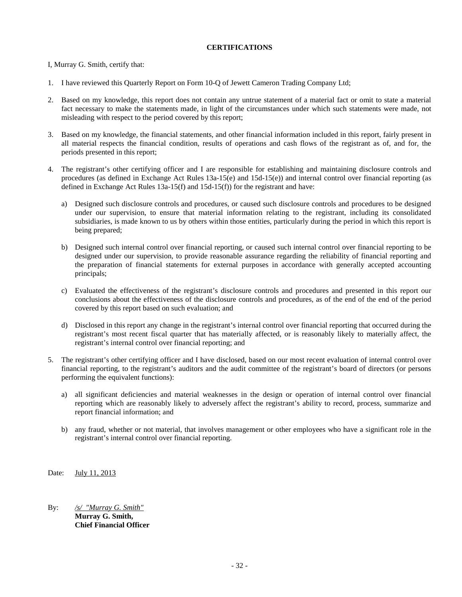#### **CERTIFICATIONS**

I, Murray G. Smith, certify that:

- 1. I have reviewed this Quarterly Report on Form 10-Q of Jewett Cameron Trading Company Ltd;
- 2. Based on my knowledge, this report does not contain any untrue statement of a material fact or omit to state a material fact necessary to make the statements made, in light of the circumstances under which such statements were made, not misleading with respect to the period covered by this report;
- 3. Based on my knowledge, the financial statements, and other financial information included in this report, fairly present in all material respects the financial condition, results of operations and cash flows of the registrant as of, and for, the periods presented in this report;
- 4. The registrant's other certifying officer and I are responsible for establishing and maintaining disclosure controls and procedures (as defined in Exchange Act Rules 13a-15(e) and 15d-15(e)) and internal control over financial reporting (as defined in Exchange Act Rules 13a-15(f) and 15d-15(f)) for the registrant and have:
	- a) Designed such disclosure controls and procedures, or caused such disclosure controls and procedures to be designed under our supervision, to ensure that material information relating to the registrant, including its consolidated subsidiaries, is made known to us by others within those entities, particularly during the period in which this report is being prepared;
	- b) Designed such internal control over financial reporting, or caused such internal control over financial reporting to be designed under our supervision, to provide reasonable assurance regarding the reliability of financial reporting and the preparation of financial statements for external purposes in accordance with generally accepted accounting principals;
	- c) Evaluated the effectiveness of the registrant's disclosure controls and procedures and presented in this report our conclusions about the effectiveness of the disclosure controls and procedures, as of the end of the end of the period covered by this report based on such evaluation; and
	- d) Disclosed in this report any change in the registrant's internal control over financial reporting that occurred during the registrant's most recent fiscal quarter that has materially affected, or is reasonably likely to materially affect, the registrant's internal control over financial reporting; and
- 5. The registrant's other certifying officer and I have disclosed, based on our most recent evaluation of internal control over financial reporting, to the registrant's auditors and the audit committee of the registrant's board of directors (or persons performing the equivalent functions):
	- a) all significant deficiencies and material weaknesses in the design or operation of internal control over financial reporting which are reasonably likely to adversely affect the registrant's ability to record, process, summarize and report financial information; and
	- b) any fraud, whether or not material, that involves management or other employees who have a significant role in the registrant's internal control over financial reporting.

Date: *July 11, 2013* 

By: */s/ "Murray G. Smith"* **Murray G. Smith, Chief Financial Officer**